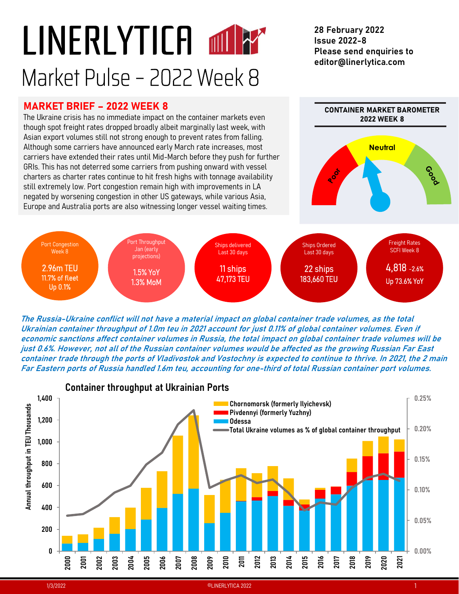# LINERLYTICA LINERLYTICA MINER<br>Market Pulse – 2022 Week 8<br>MARKET BRIEF – 2022 WEEK 8<br>The Ukraine crisis has no immediate impact on the container markets even Market Pulse – 2022 Week 8<br>
Market Pulse – 2022 Week 8<br>
Market state of the Ukraine crisis has no immediate impact on the container markets even<br>
though spot freight rates dropped broadly albeit marginally last week, with<br>

28 February 2022 Issue 2022-8 Please send enquiries to editor@linerlytica.com



The Russia-Ukraine conflict will not have a material impact on global container trade volumes, as the total economic sanctions affect container volumes in Russia, the total impact on global container trade volumes will be Far Eastern ports of Russia handled 1.6m teu, accounting for one-third of total Russian container port volumes.

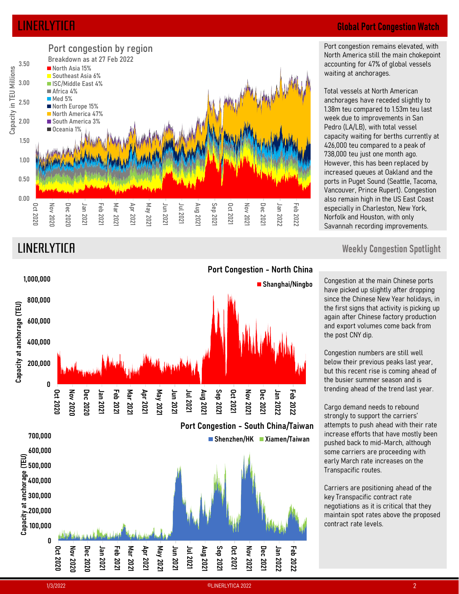

# LINERLYTICA Global Port Congestion Watch

Port congestion remains elevated, with North America still the main chokepoint accounting for 47% of global vessels waiting at anchorages.

Total vessels at North American anchorages have receded slightly to **Global Port Congestion Watch**<br>Port congestion remains elevated, with<br>North America still the main chokepoint<br>accounting for 47% of global vessels<br>waiting at anchorages.<br>Total vessels at North American<br>anchorages have rece week due to improvements in San Pedro (LA/LB), with total vessel capacity waiting for berths currently at **Global Port Congestion Watch**<br>Port congestion remains elevated, with<br>North America still the main chokepoint<br>accounting for 47% of global vessels<br>waiting at anchorages.<br>Total vessels at North American<br>anchorages have rece **Global Port Congestion Watch**<br>Port congestion remains elevated, with<br>North America still the main chokepoint<br>accounting for 47% of global vessels<br>waiting at anchorages.<br>Total vessels at North American<br>anchorages have rece However, this has been replaced by increased queues at Oakland and the ports in Puget Sound (Seattle, Tacoma, Vancouver, Prince Rupert). Congestion also remain high in the US East Coast especially in Charleston, New York, Norfolk and Houston, with only Savannah recording improvements.



## LINERLYTICA Weekly Congestion Spotlight

Shanghai/Ningbo Congestion at the main Chinese ports have picked up slightly after dropping since the Chinese New Year holidays, in the first signs that activity is picking up again after Chinese factory production and export volumes come back from the post CNY dip.

> Congestion numbers are still well below their previous peaks last year, but this recent rise is coming ahead of the busier summer season and is trending ahead of the trend last year.

Cargo demand needs to rebound strongly to support the carriers' attempts to push ahead with their rate increase efforts that have mostly been pushed back to mid-March, although some carriers are proceeding with early March rate increases on the Transpacific routes.

Carriers are positioning ahead of the key Transpacific contract rate negotiations as it is critical that they maintain spot rates above the proposed contract rate levels.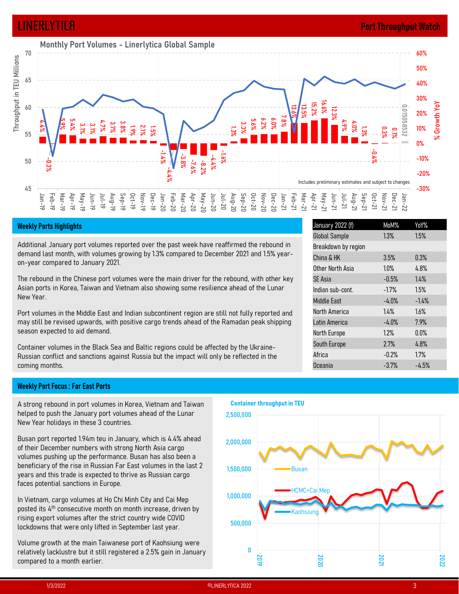## LINERLYTICA Port Throughput Watch



Additional January port volumes reported over the past week have reaffirmed the rebound in demand last month, with volumes growing by 1.3% compared to December 2021 and 1.5% yearon-year compared to January 2021.

The rebound in the Chinese port volumes were the main driver for the rebound, with other key Asian ports in Korea, Taiwan and Vietnam also showing some resilience ahead of the Lunar New Year.

Port volumes in the Middle East and Indian subcontinent region are still not fully reported and may still be revised upwards, with positive cargo trends ahead of the Ramadan peak shipping season expected to aid demand.

Container volumes in the Black Sea and Baltic regions could be affected by the Ukraine-Russian conflict and sanctions against Russia but the impact will only be reflected in the coming months.

## Weekly Port Focus : Far East Ports

A strong rebound in port volumes in Korea, Vietnam and Taiwan helped to push the January port volumes ahead of the Lunar New Year holidays in these 3 countries.

of their December numbers with strong North Asia cargo volumes pushing up the performance. Busan has also been a beneficiary of the rise in Russian Far East volumes in the last 2 years and this trade is expected to thrive as Russian cargo faces potential sanctions in Europe.

In Vietnam, cargo volumes at Ho Chi Minh City and Cai Mep posted its 4<sup>th</sup> consecutive month on month increase, driven by rising export volumes after the strict country wide COVID lockdowns that were only lifted in September last year.

Volume growth at the main Taiwanese port of Kaohsiung were<br>relatively lacklustre but it still registered a 2.5% gain in January compared to a month earlier.



| 76.6%<br>15, 20<br>12.3%<br>4.9%<br>$4.0\%$<br>$1.3\%$                           | 0.015058532<br>$0.3\%$<br>$0.1\%$<br><b>Contract</b><br>$-0.44$ | 3U70<br>% Growth YoY<br>20%<br>10%<br>$0\%$<br>$-10%$ |
|----------------------------------------------------------------------------------|-----------------------------------------------------------------|-------------------------------------------------------|
| s preliminary estimates and subject to changes                                   |                                                                 | $-20%$                                                |
| 10 <sub>m</sub> -21<br>$May-21$<br>$1u - 21$<br>$Sep-21$<br>$Aug-21$<br>$Jul-21$ | $J$ an-22<br><b>Oct-21</b><br>$Nov-21$<br>Dec-21                | $-30%$                                                |
| January 2022 (f)                                                                 | MoM%                                                            | YoY%                                                  |
| <b>Global Sample</b>                                                             | 1.3%                                                            | 1.5%                                                  |
| Breakdown by region<br>China & HK                                                | 3.5%                                                            | 0.3%                                                  |
| Other North Asia                                                                 | 1.0%                                                            | 4.8%                                                  |
| SE Asia                                                                          | $-0.5%$                                                         | 1.4%                                                  |
| Indian sub-cont.                                                                 | $-1.7%$                                                         | 1.5%                                                  |
| Middle East                                                                      | $-4.0%$                                                         | $-1.4%$                                               |
| North America                                                                    | 1.4%                                                            | 1.6%                                                  |
| Latin America                                                                    | $-4.0%$                                                         | 7.9%                                                  |
| North Europe                                                                     | 1.2%                                                            | $0.0\%$                                               |
| South Europe                                                                     | 2.7%                                                            | 4.8%                                                  |
| Africa                                                                           | $-0.2%$                                                         | 1.7%                                                  |
| Oceania                                                                          | $-3.7%$                                                         | $-4.5%$                                               |
|                                                                                  |                                                                 |                                                       |
|                                                                                  |                                                                 |                                                       |
|                                                                                  |                                                                 |                                                       |
|                                                                                  |                                                                 |                                                       |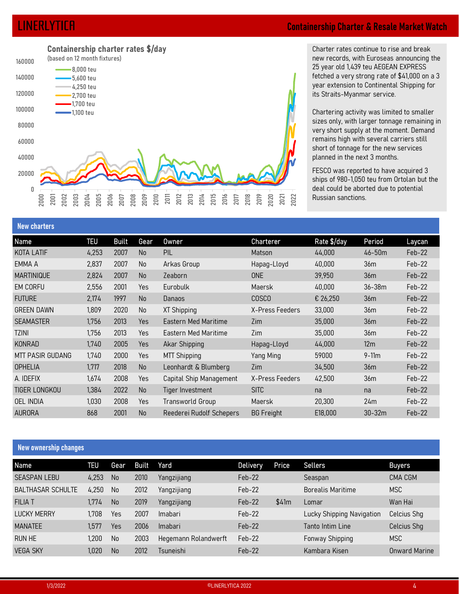# Name Team Content Charter and Supply of the Cartering activity was limited to be a lay of the Charter and Supply of the ASS of the Cartering activity was limited to species amountant the method of the ASS of the ASS of the  $\frac{100000}{-2,00000}$ <br>  $\frac{4,250000}{-2,00000}$ <br>  $\frac{4,250000}{-2,00000}$ <br>  $\frac{4,250000}{-2,0000}$ <br>  $\frac{4,250000}{-2,0000}$ <br>  $\frac{4,250000}{-2,0000}$ <br>  $\frac{4,250000}{-2,0000}$ <br>  $\frac{100000}{-2,0000}$ <br>  $\frac{100000}{-2,0000}$ <br>  $\frac{1000$ 0 20000 40000 60000 80000 100000 1,100 teu120000 2,700 teu 140000 5,600 teu 160000 (based on 12 month fixtures)  $2000$  2001 2003 2003 2008 2006 2012 2013 2014 2015 2016 2016 2010 2014 2016 2017 2017 2018 2017 2017 2021 2021 2021 2022 Containership charter rates \$/day 8,000 teu 4,250 teu 1,700 teu

# LINERLYTICA Containership Charter & Resale Market Watch

Charter rates continue to rise and break **ership Charter & Resale Market Watch**<br>Charter rates continue to rise and break<br>new records, with Euroseas announcing the<br>25 year old 1,439 teu AEGEAN EXPRESS<br>fetched a very strong rate of \$41,000 on a 3<br>year extension to **ership Charter & Resale Market Watch**<br>Charter rates continue to rise and break<br>new records, with Euroseas announcing the<br>25 year old 1,439 teu AEGEAN EXPRESS<br>fetched a very strong rate of \$41,000 on a 3<br>year extension to fetched a very strong rate of \$41,000 on a 3 year extension to Continental Shipping for its Straits-Myanmar service.

Chartering activity was limited to smaller sizes only, with larger tonnage remaining in very short supply at the moment. Demand remains high with several carriers still short of tonnage for the new services planned in the next 3 months. **ership Charter & Resale Market Watch**<br>Charter rates continue to rise and break<br>new records, with Euroseas announcing the<br>25 year old 1,439 teu AEGEAN EXPRESS<br>fetched a very strong rate of \$41,000 on a 3<br>year extension to

| 140000<br>$-4,250$ teu<br>120000<br>$-2,700$ teu<br>$-$ 1,700 teu<br>100000<br>$-$ 1,100 teu<br>80000<br>60000<br>40000<br>20000<br>0<br>2000<br>2003<br>$2001$<br>2002 | $-5,600$ teu<br>2004<br>2005 | 2006<br>2007 | 2008<br>2009 | 2010<br>2015<br>2016<br>2011<br>2012<br>2013<br>2014 | 2018<br>2020<br>2017<br>2019 | 2021<br>2022    | its Straits-Myanmar service.<br>remains high with several carriers still<br>short of tonnage for the new services<br>planned in the next 3 months.<br>FESCO was reported to have acquired 3<br>deal could be aborted due to potential<br>Russian sanctions. |                 | fetched a very strong rate of \$41,000 on a 3<br>year extension to Continental Shipping for<br>Chartering activity was limited to smaller<br>sizes only, with larger tonnage remaining in<br>very short supply at the moment. Demand<br>ships of 980-1,050 teu from Ortolan but the |
|-------------------------------------------------------------------------------------------------------------------------------------------------------------------------|------------------------------|--------------|--------------|------------------------------------------------------|------------------------------|-----------------|-------------------------------------------------------------------------------------------------------------------------------------------------------------------------------------------------------------------------------------------------------------|-----------------|-------------------------------------------------------------------------------------------------------------------------------------------------------------------------------------------------------------------------------------------------------------------------------------|
| <b>New charters</b>                                                                                                                                                     |                              |              |              |                                                      |                              |                 |                                                                                                                                                                                                                                                             |                 |                                                                                                                                                                                                                                                                                     |
| Name                                                                                                                                                                    | <b>TEU</b>                   | <b>Built</b> | Gear         | <b>Owner</b>                                         | <b>Charterer</b>             |                 | Rate \$/day                                                                                                                                                                                                                                                 | Period          | Laycan                                                                                                                                                                                                                                                                              |
| KOTA LATIF                                                                                                                                                              | 4,253                        | 2007         | No           | PIL                                                  | Matson                       |                 | 44,000                                                                                                                                                                                                                                                      | 46-50m          | Feb-22                                                                                                                                                                                                                                                                              |
| EMMA A                                                                                                                                                                  | 2,837                        | 2007         | No           | Arkas Group                                          | Hapag-Lloyd                  |                 | 40,000                                                                                                                                                                                                                                                      | 36 <sub>m</sub> | Feb-22                                                                                                                                                                                                                                                                              |
| <b>MARTINIQUE</b>                                                                                                                                                       | 2,824                        | 2007         | No           | Zeaborn                                              | <b>ONE</b>                   |                 | 39,950                                                                                                                                                                                                                                                      | 36m             | Feb-22                                                                                                                                                                                                                                                                              |
| EM CORFU                                                                                                                                                                | 2,556                        | 2001         | Yes          | Eurobulk                                             | Maersk                       |                 | 40,000                                                                                                                                                                                                                                                      | 36-38m          | Feb-22                                                                                                                                                                                                                                                                              |
| <b>FUTURE</b>                                                                                                                                                           | 2,174                        | 1997         | No           | Danaos                                               | <b>COSCO</b>                 |                 | € 26,250                                                                                                                                                                                                                                                    | 36m             | Feb-22                                                                                                                                                                                                                                                                              |
| <b>GREEN DAWN</b>                                                                                                                                                       | 1,809                        | 2020         | No           | XT Shipping                                          |                              | X-Press Feeders | 33,000                                                                                                                                                                                                                                                      | 36m             | Feb-22                                                                                                                                                                                                                                                                              |
| <b>SEAMASTER</b>                                                                                                                                                        | 1,756                        | 2013         | Yes          | Eastern Med Maritime                                 | Zim                          |                 | 35,000                                                                                                                                                                                                                                                      | 36m             | Feb-22                                                                                                                                                                                                                                                                              |
| <b>TZINI</b>                                                                                                                                                            | 1,756                        | 2013         | Yes          | Eastern Med Maritime                                 | Zim                          |                 | 35,000                                                                                                                                                                                                                                                      | 36m             | Feb-22                                                                                                                                                                                                                                                                              |
| KONRAD                                                                                                                                                                  | 1,740                        | 2005         | Yes          | <b>Akar Shipping</b>                                 | Hapag-Lloyd                  |                 | 44,000                                                                                                                                                                                                                                                      | 12m             | Feb-22                                                                                                                                                                                                                                                                              |
| MTT PASIR GUDANG                                                                                                                                                        | 1,740                        | 2000         | Yes          | MTT Shipping                                         | Yang Ming                    |                 | 59000                                                                                                                                                                                                                                                       | $9-11m$         | Feb-22                                                                                                                                                                                                                                                                              |
| <b>OPHELIA</b>                                                                                                                                                          | 1,717                        | 2018         | No           | Leonhardt & Blumberg                                 | Zim                          |                 | 34,500                                                                                                                                                                                                                                                      | 36m             | Feb-22                                                                                                                                                                                                                                                                              |
| A. IDEFIX                                                                                                                                                               | 1,674                        | 2008         | Yes          | Capital Ship Management                              |                              | X-Press Feeders | 42,500                                                                                                                                                                                                                                                      | 36m             | Feb-22                                                                                                                                                                                                                                                                              |
| TIGER LONGKOU                                                                                                                                                           | 1,384                        | 2022         | No           | Tiger Investment                                     | <b>SITC</b>                  |                 | na                                                                                                                                                                                                                                                          | na              | Feb-22                                                                                                                                                                                                                                                                              |
| <b>OEL INDIA</b>                                                                                                                                                        | 1,030                        | 2008         | Yes          | Transworld Group                                     | Maersk                       |                 | 20,300                                                                                                                                                                                                                                                      | 24m             | Feb-22                                                                                                                                                                                                                                                                              |
| <b>AURORA</b>                                                                                                                                                           | 868                          | 2001         | No           | Reederei Rudolf Schepers                             | <b>BG Freight</b>            |                 | E18,000                                                                                                                                                                                                                                                     | $30-32m$        | Feb-22                                                                                                                                                                                                                                                                              |
| <b>New ownership changes</b>                                                                                                                                            |                              |              |              |                                                      |                              |                 |                                                                                                                                                                                                                                                             |                 |                                                                                                                                                                                                                                                                                     |
| Name                                                                                                                                                                    | <b>TEU</b>                   | Gear         | Built        | Yard                                                 | <b>Delivery</b>              | Price           | <b>Sellers</b>                                                                                                                                                                                                                                              |                 | <b>Buyers</b>                                                                                                                                                                                                                                                                       |
| <b>SEASPAN LEBU</b>                                                                                                                                                     | 4,253                        | No           | 2010         | Yangzijiang                                          | Feb-22                       |                 | Seaspan                                                                                                                                                                                                                                                     |                 | CMA CGM                                                                                                                                                                                                                                                                             |
| <b>BALTHASAR SCHULTE</b>                                                                                                                                                | 4,250                        | No           | 2012         | Yangzijiang                                          | Feb-22                       |                 | <b>Borealis Maritime</b>                                                                                                                                                                                                                                    |                 | <b>MSC</b>                                                                                                                                                                                                                                                                          |
| <b>FILIAT</b>                                                                                                                                                           | 1,774                        | No           | 2019         | Yangzijiang                                          | Feb-22                       | \$41m           | Lomar                                                                                                                                                                                                                                                       |                 | Wan Hai                                                                                                                                                                                                                                                                             |
| <b>LUCKY MERRY</b>                                                                                                                                                      | 1,708                        | Yes          | 2007         | Imabari                                              | Feb-22                       |                 | Lucky Shipping Navigation                                                                                                                                                                                                                                   |                 | Celcius Shg                                                                                                                                                                                                                                                                         |
| <b>MANATEE</b>                                                                                                                                                          | 1,577                        | Yes          | 2006         | Imabari                                              | Feb-22                       |                 | Tanto Intim Line                                                                                                                                                                                                                                            |                 | Celcius Shg                                                                                                                                                                                                                                                                         |
| RUN HE                                                                                                                                                                  | 1,200                        | No           | 2003         | Hegemann Rolandwerft                                 | Feb-22                       |                 | Fonway Shipping                                                                                                                                                                                                                                             |                 | <b>MSC</b>                                                                                                                                                                                                                                                                          |
| <b>VEGA SKY</b>                                                                                                                                                         | 1,020                        | No           | 2012         | Tsuneishi                                            | Feb-22                       |                 | Kambara Kisen                                                                                                                                                                                                                                               |                 | <b>Onward Marine</b>                                                                                                                                                                                                                                                                |
|                                                                                                                                                                         |                              |              |              |                                                      |                              |                 |                                                                                                                                                                                                                                                             |                 |                                                                                                                                                                                                                                                                                     |

## New ownership changes

|                              | טט ו,      | <b>LUIJ</b> | 1C2          | Laster II Med Maritime   | LIIII           |                   | งง,บบบ                    | JUIII      | $I$ CD- $LL$         |
|------------------------------|------------|-------------|--------------|--------------------------|-----------------|-------------------|---------------------------|------------|----------------------|
| <b>TZINI</b>                 | 1,756      | 2013        | Yes          | Eastern Med Maritime     | Zim             |                   | 35,000                    | 36m        | Feb-22               |
| KONRAD                       | 1,740      | 2005        | Yes          | Akar Shipping            |                 | Hapag-Lloyd       | 44,000                    | 12m        | Feb-22               |
| MTT PASIR GUDANG             | 1,740      | 2000        | Yes          | <b>MTT Shipping</b>      |                 | Yang Ming         | 59000                     | $9-11m$    | Feb-22               |
| <b>OPHELIA</b>               | 1,717      | 2018        | No           | Leonhardt & Blumberg     | Zim             |                   | 34,500                    | 36m        | Feb-22               |
| A. IDEFIX                    | 1,674      | 2008        | Yes          | Capital Ship Management  |                 | X-Press Feeders   | 42,500                    | 36m        | Feb-22               |
| TIGER LONGKOU                | 1,384      | 2022        | No           | Tiger Investment         | <b>SITC</b>     |                   | na                        | na         | Feb-22               |
| <b>OEL INDIA</b>             | 1,030      | 2008        | Yes          | Transworld Group         |                 | Maersk            | 20,300                    | 24m        | Feb-22               |
| <b>AURORA</b>                | 868        | 2001        | No           | Reederei Rudolf Schepers |                 | <b>BG Freight</b> | E18,000                   | $30 - 32m$ | Feb-22               |
|                              |            |             |              |                          |                 |                   |                           |            |                      |
|                              |            |             |              |                          |                 |                   |                           |            |                      |
| <b>New ownership changes</b> |            |             |              |                          |                 |                   |                           |            |                      |
| Name                         | <b>TEU</b> | Gear        | <b>Built</b> | Yard                     | <b>Delivery</b> | Price             | <b>Sellers</b>            |            | <b>Buyers</b>        |
| <b>SEASPAN LEBU</b>          | 4,253      | No          | 2010         | Yangzijiang              | Feb-22          |                   | Seaspan                   |            | CMA CGM              |
| <b>BALTHASAR SCHULTE</b>     | 4,250      | No          | 2012         | Yangzijiang              | Feb-22          |                   | <b>Borealis Maritime</b>  |            | <b>MSC</b>           |
| <b>FILIAT</b>                | 1,774      | No          | 2019         | Yangzijiang              | Feb-22          | \$41m             | Lomar                     |            | Wan Hai              |
| <b>LUCKY MERRY</b>           | 1,708      | Yes         | 2007         | Imabari                  | Feb-22          |                   | Lucky Shipping Navigation |            | <b>Celcius Shg</b>   |
| <b>MANATEE</b>               | 1,577      | Yes         | 2006         | Imabari                  | Feb-22          |                   | Tanto Intim Line          |            | <b>Celcius Shg</b>   |
| <b>RUN HE</b>                | 1,200      | No          | 2003         | Hegemann Rolandwerft     | Feb-22          |                   | <b>Fonway Shipping</b>    |            | <b>MSC</b>           |
| <b>VEGA SKY</b>              | 1,020      | No          | 2012         | Tsuneishi                | Feb-22          |                   | Kambara Kisen             |            | <b>Onward Marine</b> |
|                              |            |             |              |                          |                 |                   |                           |            |                      |
|                              |            |             |              |                          |                 |                   |                           |            |                      |
| 1/3/2022                     |            |             |              | ©LINERLYTICA 2022        |                 |                   |                           |            | 4                    |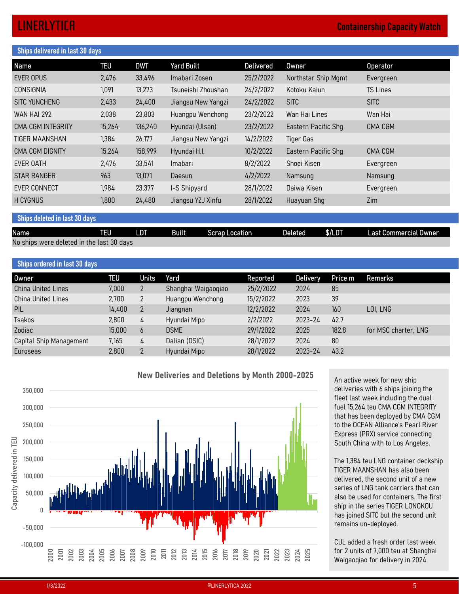# Ships delivered in last 30 days **EXEMPLYTICA Containership Capacity Watch**<br>
Name TEU DWT Yard Built Delivered Owner Operator<br>
EVER OPUS 2,476 33,496 Imabari Zosen 25/2/2022 Northstar Ship Mgmt Evergreen<br>
CONSIGNIA 1,091 13,273 Tsuneishi Zhoushan 24/2/202 **LINERLYTICA**<br>
Ships delivered in last 30 days<br>
Name TEU DWT Yard Built<br>
EVER OPUS 2,476 33,496 Imabari Zosen 25/2/2022 Northstar Ship Mgmt Evergreen<br>
CONSIGNIA 1,091 13,273 Tsuneishi Zhoushan 24/2/2022 Kotoku Kaiun TS Lin **LINERLYTICH**<br>
Ships delivered in last 30 days<br>
Name<br>
EVE OPUS 2,476 33,496 Imabari Zosen 25/2/2022 Northstar Ship Mgmt Evergreen<br>
CONSIGNIA 1,091 13,273 Tsuneishi Zhoushan 24/2/2022 Kotoku Kaiun TS Lines<br>
SITC YUNCHENG 2, EXAMPLE 2013<br>
SIMPOS 11:00 March 2014<br>
SIMPOS 2,476 33,496 Imabari Zosen<br>
EVER OPUS 2,476 33,496 Imabari Zosen<br>
CONSIGNIA 1,091 13,273 Tsuneishi Zhoushan<br>
SITC YUNCHENG 2,433 24,400 Jiangsu New Yangzi 24/2/2022 SITC SITC S **LINERLYTICFI**<br>
Ships delivered in last 30 days<br>
EVER OPUS 2,476 33,496 Imabari Zosen 25/2/2022 Northstar Ship Mgmt Evergreen<br>
CONSIGNIA 1,091 13,273 Tsuneishi Zhoushan 24/2/2022 Northstar Ship Mgmt Evergreen<br>
SITC YUNCHEN CONTRESS UNIVERSIDENT SALES 13,264 136,240 Hyundai (Ulsan) 23/2/2022 Northar Ship Mgmt<br>EVER OPUS 2.476 33,496 Imabari Zosen 25/2/2022 Northstar Ship Mgmt Evergreen<br>CONSIGNIA 1,091 13,273 Tsuneishi Zhoushan 2.4/2/2022 Kotok **LINERLYTICR**<br>
Names delivered in last 30 days<br>
Names 1,394 26,420<br>
CEVERGION<br>
CEVERGION<br>
CEVERGION<br>
CEVERGION<br>
CONSIGNIA 1,394 24,400 Jiangsu New Yangzi 24/2/2022 Northstar Ship Mgmt<br>
SITC YUNCHENG 2,433 24,400 Jiangsu Ne Containership Capacity Watch<br>
Names<br>
Names<br>
CENSIGNE OF 2017<br>
CENSIGNIA<br>
CONSIGNIA<br>
CONSIGNIA<br>
CONSIGNIA<br>
CONSIGNIA<br>
2.433 24,400 Jiangsu New Yangzi 24/2/2022 Notoku Kaiun TS Lines<br>
SITC YUNCHENG<br>
2.433 24,400 Jiangsu New EXEMING UNITE UNITED States of the UNITED States of the UNITED States of the UNITED States of the UNITED States of the UNITED STATES of the UNITED STATES (UNITED STATES) and the UNITED STATES (UNITED STATES) and the UNITED STAR RANGER 963 13,071 Daesun 4/2/2022 Namsung Namsung **LINERLYTICA**<br>
Ships delivered in Last 30 days<br>
Name<br>
EVER OPUS 2,476 33,496 Imaberi Zosen 25/2/2022 Northstar Ship Mymt Evergreen<br>
CONSIGNIA 1,091 13,273 Tsuneishi Zhoushan 24/2/2022 Northstar Ship Mymt Evergreen<br>
EVER MA EXAMPRENT USE CONTENT CONTENT CONTENT CONTENT CONTENT CONTENT CONTENT CONTENT CONTENT CONTENT CONTENT CONTENT CONTENT CONTENT CONTENT CONTENT CONTENT CONTENT CONTENT CONTENT CONTENT CONTENT CONTENT CONTENT CONTENT CONTENT Ships delivered in last 30 days<br>
Name<br>
EVR Delivered Built Delivered Owner<br>
EVR OPISITENCIAL<br>
CONSIGNIA<br>
CONSIGNIA<br>
CONSIGNAL<br>
STE VINDERING 22,433 24,400 Jiangsu New Yangzi 24/2/2022 Northistorial TS Lines<br>
STE WARHAI 272 CONSIGNIA 1091 13.273 Tsuneishi Zhoushan 24/2/2022 Kotoku Kaiun 15 Lines<br>
SITC WINCHENG 2,433 24,400 Jiangsu New Yangzi 24/2/2022 Site Hillines War Hai CMA CGM NTEGRITY 15.264 136.240 Hyundai (Ultan) 23/2/2022 Wan Hai Line STIC VINCHENG 2.433 24,400 Jiangsu New Yangzi 24/2/2022 SITC SITC STONE Wan Hai Lines Wai Marini Marini Wai Marini Marini Marini Marini Marini Marini Marini Marini Marini Marini Marini Marini Marini Marini Marini Marini Ma WAN HAI 292<br>
CMA HAI 292<br>
CMA COM INTEGRATIV 15,264 15,200 Huangpu Wenchong 23/2/2022 Wan Hai Lines Wan Hai<br>
CHIC COM INTEGRATIV 15,264 15,477 Jiangsu New Yangzi 16,47,2022 Eastern Pacific Shg CMA COM<br>
CHIC COM ISSN 1976-4 CMA CGM NTEGRITY 15,264 136,240 Hyundai (Ulsan) 23/2/2022 Eastern Pacific Shg CMA CGM<br>TIGER MAANSHAN 1,384 26,177 Jiangsu New Yangzi 14/2/2022 Eastern Pacific Shg CMA CGM<br>EVER OATH<br>EVER OATH<br>EVER OATH<br>EVER OATH<br>EVER OATH<br>E

## Ships ordered in last 30 days

| <b>UMA UUM INTLUNTI</b>                   | דט,גו      | 100,440        | Tiyunuar (Otsan)                                       | 20  L  2022 | Lasici II I acilic Jily |         | <b>UNIA UUNI</b>                                                                                                                 |
|-------------------------------------------|------------|----------------|--------------------------------------------------------|-------------|-------------------------|---------|----------------------------------------------------------------------------------------------------------------------------------|
| <b>TIGER MAANSHAN</b>                     | 1,384      | 26,177         | Jiangsu New Yangzi                                     | 14/2/2022   | <b>Tiger Gas</b>        |         |                                                                                                                                  |
| CMA CGM DIGNITY                           | 15,264     | 158,999        | Hyundai H.I.                                           | 10/2/2022   | Eastern Pacific Shg     |         | CMA CGM                                                                                                                          |
| EVER OATH                                 | 2,476      | 33,541         | Imabari                                                | 8/2/2022    | Shoei Kisen             |         | Evergreen                                                                                                                        |
| <b>STAR RANGER</b>                        | 963        | 13,071         | Daesun                                                 | 4/2/2022    | Namsung                 |         | Namsung                                                                                                                          |
| <b>EVER CONNECT</b>                       | 1,984      | 23,377         | I-S Shipyard                                           | 28/1/2022   | Daiwa Kisen             |         | Evergreen                                                                                                                        |
| H CYGNUS                                  | 1,800      | 24,480         | Jiangsu YZJ Xinfu                                      | 28/1/2022   | Huayuan Shg             |         | Zim                                                                                                                              |
| Ships deleted in last 30 days             |            |                |                                                        |             |                         |         |                                                                                                                                  |
| Name                                      | <b>TEU</b> | <b>LDT</b>     | <b>Built</b><br><b>Scrap Location</b>                  |             | <b>Deleted</b>          | \$/LDT  | Last Commercial Owner                                                                                                            |
| No ships were deleted in the last 30 days |            |                |                                                        |             |                         |         |                                                                                                                                  |
|                                           |            |                |                                                        |             |                         |         |                                                                                                                                  |
| <b>Ships ordered in last 30 days</b>      |            |                |                                                        |             |                         |         |                                                                                                                                  |
| <b>Owner</b>                              | <b>TEU</b> | <b>Units</b>   | Yard                                                   | Reported    | <b>Delivery</b>         | Price m | Remarks                                                                                                                          |
| <b>China United Lines</b>                 | 7,000      | $\overline{2}$ | Shanghai Waigaoqiao                                    | 25/2/2022   | 2024                    | 85      |                                                                                                                                  |
| <b>China United Lines</b>                 | 2,700      | $\overline{2}$ | Huangpu Wenchong                                       | 15/2/2022   | 2023                    | 39      |                                                                                                                                  |
| PIL                                       | 14,400     | $\overline{2}$ | Jiangnan                                               | 12/2/2022   | 2024                    | 160     | LOI, LNG                                                                                                                         |
| Tsakos                                    | 2,800      | $\frac{1}{4}$  | Hyundai Mipo                                           | 2/2/2022    | 2023-24                 | 42.7    |                                                                                                                                  |
| Zodiac                                    | 15,000     | 6              | <b>DSME</b>                                            | 29/1/2022   | 2025                    | 182.8   | for MSC charter, LNG                                                                                                             |
| Capital Ship Management                   | 7,165      | 4              | Dalian (DSIC)                                          | 28/1/2022   | 2024                    | $80\,$  |                                                                                                                                  |
| Euroseas                                  | 2,800      | $\overline{2}$ | Hyundai Mipo                                           | 28/1/2022   | 2023-24                 | 43.2    |                                                                                                                                  |
| 350,000                                   |            |                | <b>New Deliveries and Deletions by Month 2000-2025</b> |             |                         |         | An active week for new ship<br>deliveries with 6 ships joining the<br>fleet last week including the dual                         |
| 300,000<br>250,000                        |            |                |                                                        |             |                         |         | fuel 15,264 teu CMA CGM INTEGRITY<br>that has been deployed by CMA CGM<br>to the OCEAN Alliance's Pearl River                    |
| 200,000<br>$\equiv$                       |            |                |                                                        |             |                         |         | Express (PRX) service connecting<br>South China with to Los Angeles.                                                             |
| 150,000                                   |            |                |                                                        |             |                         |         | The 1,384 teu LNG container deckship<br>TIGER MAANSHAN has also been                                                             |
| Capacity deliver<br>100,000<br>50,000     |            |                |                                                        |             |                         |         | delivered, the second unit of a new<br>series of LNG tank carriers that can                                                      |
| 0                                         |            |                |                                                        |             |                         |         | also be used for containers. The first<br>ship in the series TIGER LONGKOU<br>$1$ $\cap$ $\top$ $\cap$ $1$ $\longrightarrow$ $1$ |



TIGER MAANSHAN has also been delivered, the second unit of a new series of LNG tank carriers that can also be used for containers. The first ship in the series TIGER LONGKOU has joined SITC but the second unit remains un-deployed. An active week for new ship<br>deliveries with 6 ships joining the<br>fleet last week including the dual<br>fuel 15,264 teu CMA CGM INTEGRITY<br>that has been deployed by CMA CGM<br>to the OCEAN Alliance's Pearl River<br>Express (PRX) servi An active week for new ship<br>deliveries with 6 ships joining the<br>fleet last week including the dual<br>fuel 15,264 teu CMA CGM INTEGRITY<br>that has been deployed by CMA CGM<br>to the OCEAN Alliance's Pearl River<br>Express (PRX) servi

CUL added a fresh order last week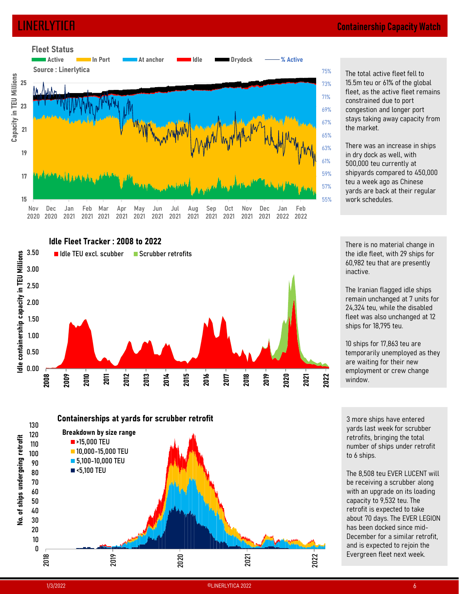

 $^{75\%}$  The total active fleet fell to  $^{75\%}$ **ntainership Capacity Watch**<br>The total active fleet fell to<br>15.5m teu or 61% of the global<br>fleet, as the active fleet remains<br>constrained due to port<br>congestion and longer port<br>stays taking away capacity from<br>the market. fleet, as the active fleet remains constrained due to port 71% congestion and longer port 69%  $_{67\%}$  stays taking away capacity from the market. **ntainership Capacity Watch**<br>The total active fleet fell to<br>15.5m teu or 61% of the global<br>fleet, as the active fleet remains<br>constrained due to port<br>congestion and longer port<br>stays taking away capacity from<br>the market.<br>T **ntainership Capacity Watch**<br>The total active fleet fell to<br>15.5m teu or 61% of the global<br>fleet, as the active fleet remains<br>constrained due to port<br>congestion and longer port<br>stays taking away capacity from<br>the market.<br>T The total active fleet fell to<br>15.5m teu or 61% of the global<br>fleet, as the active fleet remains<br>constrained due to port<br>congestion and longer port<br>stays taking away capacity from<br>the market.<br>There was an increase in ships 73% 15.5m teu or 61% of the global

 $_{63\%}$  There was an increase in ships in dry dock as well, with shipyards compared to 450,000 59% 57% yards are back at their regular work schedules. 55% in dry dock as well, with<br>500,000 teu currently at<br>shipyards compared to 450,000<br>teu a week ago as Chinese<br>yards are back at their regular<br>work schedules.<br>There is no material change in<br>the idle fleet, with 29 ships for<br>60  $61\%$  500,000 teu currently at

There is no material change in the idle fleet, with 29 ships for inactive.

The Iranian flagged idle ships remain unchanged at 7 units for 24,324 teu, while the disabled fleet was also unchanged at 12 ships for 18,795 teu.

temporarily unemployed as they are waiting for their new employment or crew change window.

3 more ships have entered yards last week for scrubber retrofits, bringing the total number of ships under retrofit to 6 ships.

The Iranian flagged idle ships<br>
remain unchanged at 7 units for<br>
24,324 teu, while the disabled<br>
fleet was also unchanged at 12<br>
ships for 18,795 teu.<br>
10 ships for 17,863 teu are<br>
temporarily unemployed as they<br>
are waiti be receiving a scrubber along with an upgrade on its loading capacity to 9,532 teu. The retrofit is expected to take about 70 days. The EVER LEGION has been docked since mid-December for a similar retrofit, and is expected to rejoin the Evergreen fleet next week.



Containerships at yards for scrubber retrofit<br>
Breakdown by size range<br>
■15,000 TEU<br>
■5,100 TEU<br>
■5,100 TEU<br>
■5,100 TEU<br>
■5,100 TEU<br>
■5,100 TEU<br>
■5,000 TEU<br>
■5,000 TEU<br>
■5,000 TEU<br>
■5,000 TEU<br>
The 8,508 Beu EVER LUCENT wi 0 10 and 20 and 20 and 20 and 20 and 20 and 20 and 20 and 20 and 20 and 20 and 20 and 20 and 20 and 20 and 20 an 20 and the contract of the contract of the contract of the contract of the contract of the contract of the con  $30$ 40 50 60 70 80 <5,100 TEU90 5,100-10,000 TEU 100 10,000-15,000 TEU 110 >15,000 TEU 120 Breakdown by size range **Containerships at yards for scrubber retrofit**<br><sup>130</sup> <sup>2018</sup> <sup>2019</sup> <sup>2020</sup> <sup>2021</sup> <sup>2022</sup> No. of ships undergoing retrofitBreakdown by size range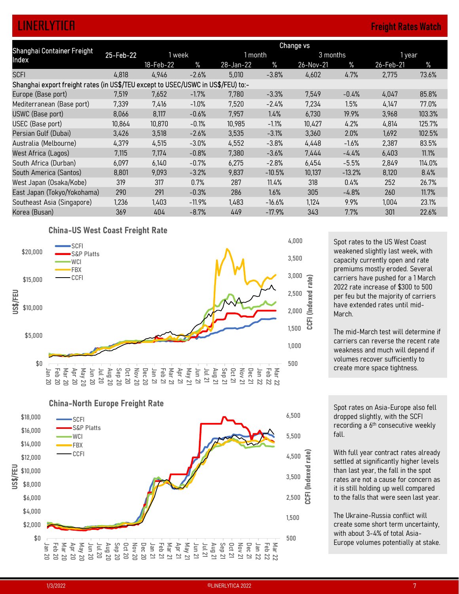# LINERLYTICA Freight Rates Watch

| <b>LINERLYTICA</b>                                                                                     |           |           |          |           |          |                  |          | <b>Freight Rates Watch</b>                                           |        |
|--------------------------------------------------------------------------------------------------------|-----------|-----------|----------|-----------|----------|------------------|----------|----------------------------------------------------------------------|--------|
|                                                                                                        |           |           |          |           |          | <b>Change vs</b> |          |                                                                      |        |
| Shanghai Container Freight<br>Index                                                                    | 25-Feb-22 | 1 week    |          | 1 month   |          |                  | 3 months | 1 year                                                               |        |
|                                                                                                        |           | 18-Feb-22 | $\%$     | 28-Jan-22 | $\%$     | 26-Nov-21        | $\%$     | 26-Feb-21                                                            | $\%$   |
| <b>SCFI</b>                                                                                            | 4,818     | 4,946     | $-2.6%$  | 5,010     | $-3.8%$  | 4,602            | 4.7%     | 2,775                                                                | 73.6%  |
| Shanghai export freight rates (in US\$/TEU except to USEC/USWC in US\$/FEU) to:-<br>Europe (Base port) | 7,519     | 7,652     | $-1.7%$  | 7,780     | $-3.3%$  | 7,549            | $-0.4%$  | 4,047                                                                | 85.8%  |
| Mediterranean (Base port)                                                                              | 7,339     | 7,416     | $-1.0%$  | 7,520     | $-2.4%$  | 7,234            | 1.5%     | 4,147                                                                | 77.0%  |
| USWC (Base port)                                                                                       | 8,066     | 8,117     | $-0.6%$  | 7,957     | 1.4%     | 6,730            | 19.9%    | 3,968                                                                | 103.3% |
| USEC (Base port)                                                                                       | 10,864    | 10,870    | $-0.1%$  | 10,985    | $-1.1%$  | 10,427           | 4.2%     | 4,814                                                                | 125.7% |
| Persian Gulf (Dubai)                                                                                   | 3,426     | 3,518     | $-2.6%$  | 3,535     | $-3.1%$  | 3,360            | 2.0%     | 1,692                                                                | 102.5% |
| Australia (Melbourne)                                                                                  | 4,379     | 4,515     | $-3.0%$  | 4,552     | $-3.8%$  | 4,448            | $-1.6%$  | 2,387                                                                | 83.5%  |
| West Africa (Lagos)                                                                                    | 7,115     | 7,174     | $-0.8%$  | 7,380     | $-3.6%$  | 7,444            | $-4.4%$  | 6,403                                                                | 11.1%  |
| South Africa (Durban)                                                                                  | 6,097     | 6,140     | $-0.7%$  | 6,275     | $-2.8%$  | 6,454            | $-5.5%$  | 2,849                                                                | 114.0% |
| South America (Santos)                                                                                 | 8,801     | 9,093     | $-3.2%$  | 9,837     | $-10.5%$ | 10,137           | $-13.2%$ | 8,120                                                                | 8.4%   |
| West Japan (Osaka/Kobe)                                                                                | 319       | 317       | 0.7%     | 287       | 11.4%    | 318              | 0.4%     | 252                                                                  | 26.7%  |
| East Japan (Tokyo/Yokohama)                                                                            | 290       | 291       | $-0.3%$  | 286       | 1.6%     | 305              | $-4.8%$  | 260                                                                  | 11.7%  |
| Southeast Asia (Singapore)                                                                             | 1,236     | 1,403     | $-11.9%$ | 1,483     | $-16.6%$ | 1,124            | 9.9%     | 1,004                                                                | 23.1%  |
| Korea (Busan)                                                                                          | 369       | 404       | $-8.7%$  | 449       | $-17.9%$ | 343              | 7.7%     | 301                                                                  | 22.6%  |
| <b>China-US West Coast Freight Rate</b>                                                                |           |           |          |           |          |                  |          |                                                                      |        |
|                                                                                                        |           |           |          |           |          |                  |          |                                                                      |        |
|                                                                                                        |           |           |          |           |          |                  |          |                                                                      |        |
| SCFI<br>\$20,000<br>S&P Platts                                                                         |           |           |          |           |          | 4,000            |          | Spot rates to the US West Coast<br>weakened slightly last week, with |        |



China-North Europe Freight Rate



Spot rates to the US West Coast 4,000 weakened slightly last week, with capacity currently open and rate 3,500 premiums mostly eroded. Several  $3,000$   $\circled{2}$  carriers have pushed for a 1 March 2022 rate increase of \$300 to 500  $2,500$   $\frac{10}{2}$  per feu but the majority of carriers have extended rates until mid- $^{2,000}$   $\equiv$  March.

The mid-March test will determine if carriers can reverse the recent rate 1,000 veakness and much will depend if volumes recover sufficiently to create more space tightness. 500

Spot rates on Asia-Europe also fell dropped slightly, with the SCFI 6,500 recording a 6<sup>th</sup> consecutive weekly fall.

With full year contract rates already  $4,500$   $\frac{3}{10}$  settled at significantly higher levels than last year, the fall in the spot  $3,500$   $\frac{6}{5}$  rates are not a cause for concern as it is still holding up well compared دبل to the falls that were seen last year.

The Ukraine-Russia conflict will 1,500 create some short term uncertainty, with about 3-4% of total Asia-500 **Europe volumes potentially at stake.**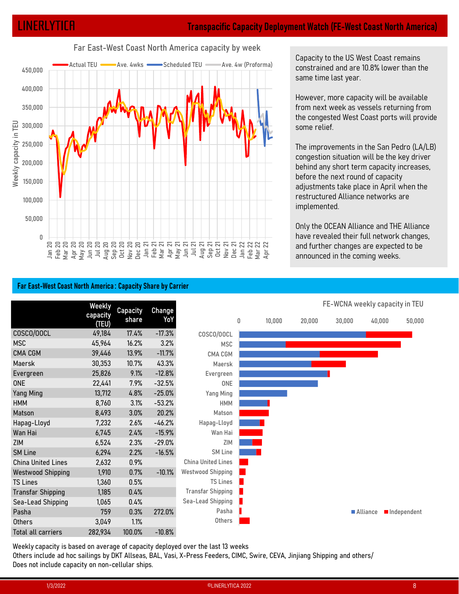

## Far East-West Coast North America capacity by week

Capacity to the US West Coast remains constrained and are 10.8% lower than the same time last year.

However, more capacity will be available from next week as vessels returning from the congested West Coast ports will provide some relief.

## Far East-West Coast North America : Capacity Share by Carrier

| Weekly capacity in<br>250,000<br>200,000                     |                 |              |                      |                           |   |        |              |                                                                                |                      | The improvements in the San Pedro (LA/LB)<br>congestion situation will be the key driver<br>behind any short term capacity increases, |
|--------------------------------------------------------------|-----------------|--------------|----------------------|---------------------------|---|--------|--------------|--------------------------------------------------------------------------------|----------------------|---------------------------------------------------------------------------------------------------------------------------------------|
| 150,000                                                      |                 |              |                      |                           |   |        |              | before the next round of capacity                                              |                      |                                                                                                                                       |
|                                                              |                 |              |                      |                           |   |        |              | adjustments take place in April when the<br>restructured Alliance networks are |                      |                                                                                                                                       |
| 100,000<br>50,000                                            |                 |              |                      |                           |   |        | implemented. |                                                                                |                      |                                                                                                                                       |
|                                                              |                 |              |                      |                           |   |        |              | Only the OCEAN Alliance and THE Alliance                                       |                      |                                                                                                                                       |
| $\Omega$                                                     |                 |              |                      |                           |   |        |              | have revealed their full network changes,                                      |                      |                                                                                                                                       |
|                                                              |                 |              |                      |                           |   |        |              | and further changes are expected to be<br>announced in the coming weeks.       |                      |                                                                                                                                       |
|                                                              |                 |              |                      |                           |   |        |              |                                                                                |                      |                                                                                                                                       |
|                                                              |                 |              |                      |                           |   |        |              |                                                                                |                      |                                                                                                                                       |
| Far East-West Coast North America: Capacity Share by Carrier |                 |              |                      |                           |   |        |              |                                                                                |                      |                                                                                                                                       |
|                                                              | <b>Weekly</b>   | Capacity     | <b>Change</b>        |                           |   |        |              | FE-WCNA weekly capacity in TEU                                                 |                      |                                                                                                                                       |
|                                                              | capacity        | share        | YoY                  |                           | 0 | 10,000 | 20,000       | 30,000                                                                         | 40,000               | 50,000                                                                                                                                |
| COSCO/OOCL                                                   | (TEU)<br>49,184 | 17.4%        | $-17.3%$             | COSCO/OOCL                |   |        |              |                                                                                |                      |                                                                                                                                       |
| <b>MSC</b>                                                   | 45,964          | 16.2%        | 3.2%                 | <b>MSC</b>                |   |        |              |                                                                                |                      |                                                                                                                                       |
| CMA CGM                                                      | 39,446          | 13.9%        | $-11.7%$             | CMA CGM                   |   |        |              |                                                                                |                      |                                                                                                                                       |
| Maersk                                                       | 30,353          | 10.7%        | 43.3%                | Maersk                    |   |        |              |                                                                                |                      |                                                                                                                                       |
| Evergreen                                                    | 25,826          | 9.1%         | $-12.8%$             | Evergreen                 |   |        |              |                                                                                |                      |                                                                                                                                       |
| <b>ONE</b>                                                   | 22,441          | 7.9%         | $-32.5%$             | ONE                       |   |        |              |                                                                                |                      |                                                                                                                                       |
| Yang Ming                                                    | 13,712          | 4.8%         | $-25.0%$             | Yang Ming                 |   |        |              |                                                                                |                      |                                                                                                                                       |
| HMM                                                          | 8,760           | 3.1%         | $-53.2%$             | <b>HMM</b>                |   |        |              |                                                                                |                      |                                                                                                                                       |
| Matson                                                       | 8,493           | 3.0%         | 20.2%                | Matson                    |   |        |              |                                                                                |                      |                                                                                                                                       |
| Hapag-Lloyd                                                  | 7,232           | 2.6%         | $-46.2%$             | Hapag-Lloyd               |   |        |              |                                                                                |                      |                                                                                                                                       |
| Wan Hai                                                      | 6,745           | 2.4%         | $-15.9%$             | Wan Hai<br>ZIM            |   |        |              |                                                                                |                      |                                                                                                                                       |
| ZIM<br><b>SM Line</b>                                        | 6,524<br>6,294  | 2.3%<br>2.2% | $-29.0%$<br>$-16.5%$ | SM Line                   |   |        |              |                                                                                |                      |                                                                                                                                       |
| China United Lines                                           | 2,632           | 0.9%         |                      | <b>China United Lines</b> |   |        |              |                                                                                |                      |                                                                                                                                       |
| <b>Westwood Shipping</b>                                     | 1,910           | 0.7%         | $-10.1%$             | Westwood Shipping         |   |        |              |                                                                                |                      |                                                                                                                                       |
| <b>TS Lines</b>                                              | 1,360           | 0.5%         |                      | TS Lines                  |   |        |              |                                                                                |                      |                                                                                                                                       |
| <b>Transfar Shipping</b>                                     | 1,185           | 0.4%         |                      | Transfar Shipping         |   |        |              |                                                                                |                      |                                                                                                                                       |
| Sea-Lead Shipping                                            | 1,065           | 0.4%         |                      | Sea-Lead Shipping         |   |        |              |                                                                                |                      |                                                                                                                                       |
| Pasha                                                        | 759             | 0.3%         | 272.0%               | Pasha                     |   |        |              |                                                                                | Alliance Independent |                                                                                                                                       |
| Others                                                       | 3,049           | 1.1%         |                      | Others                    |   |        |              |                                                                                |                      |                                                                                                                                       |
| Total all carriers                                           | 282,934         | 100.0%       | $-10.8%$             |                           |   |        |              |                                                                                |                      |                                                                                                                                       |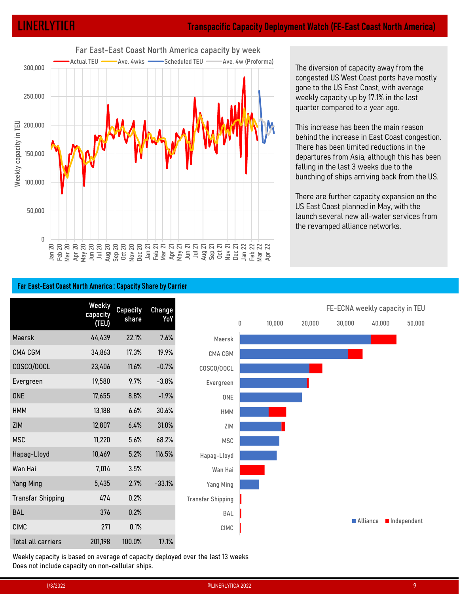

The diversion of capacity away from the congested US West Coast ports have mostly gone to the US East Coast, with average weekly capacity up by 17.1% in the last quarter compared to a year ago.

This increase has been the main reason behind the increase in East Coast congestion. There has been limited reductions in the departures from Asia, although this has been falling in the last 3 weeks due to the bunching of ships arriving back from the US.

## Far East-East Coast North America : Capacity Share by Carrier

| Weekly capacity in<br>150,000<br>100,000         |                                                              |                 |               |                                                                                 |        |        | There has been limited reductions in the<br>falling in the last 3 weeks due to the |                      | behind the increase in East Coast congestion.<br>departures from Asia, although this has been<br>bunching of ships arriving back from the US.<br>There are further capacity expansion on the |
|--------------------------------------------------|--------------------------------------------------------------|-----------------|---------------|---------------------------------------------------------------------------------|--------|--------|------------------------------------------------------------------------------------|----------------------|----------------------------------------------------------------------------------------------------------------------------------------------------------------------------------------------|
| 50,000<br>$\Box$                                 |                                                              |                 |               |                                                                                 |        |        | US East Coast planned in May, with the<br>the revamped alliance networks.          |                      | launch several new all-water services from                                                                                                                                                   |
|                                                  | Far East-East Coast North America: Capacity Share by Carrier |                 |               |                                                                                 |        |        |                                                                                    |                      |                                                                                                                                                                                              |
|                                                  | Weekly                                                       | <b>Capacity</b> | <b>Change</b> |                                                                                 |        |        | FE-ECNA weekly capacity in TEU                                                     |                      |                                                                                                                                                                                              |
|                                                  | capacity<br>(TEU)                                            | share           | YoY           | 0                                                                               | 10,000 | 20,000 | 30,000                                                                             | 40,000               | 50,000                                                                                                                                                                                       |
| Maersk                                           | 44,439                                                       | 22.1%           | 7.6%          | Maersk                                                                          |        |        |                                                                                    |                      |                                                                                                                                                                                              |
| CMA CGM                                          | 34,863                                                       | 17.3%           | 19.9%         | CMA CGM                                                                         |        |        |                                                                                    |                      |                                                                                                                                                                                              |
| COSCO/OOCL                                       | 23,406                                                       | 11.6%           | $-0.7%$       | COSCO/OOCL                                                                      |        |        |                                                                                    |                      |                                                                                                                                                                                              |
| Evergreen                                        | 19,580                                                       | 9.7%            | $-3.8%$       | Evergreen                                                                       |        |        |                                                                                    |                      |                                                                                                                                                                                              |
| <b>ONE</b>                                       | 17,655                                                       | 8.8%            | $-1.9%$       | ONE                                                                             |        |        |                                                                                    |                      |                                                                                                                                                                                              |
| <b>HMM</b>                                       | 13,188                                                       | 6.6%            | 30.6%         | <b>HMM</b>                                                                      |        |        |                                                                                    |                      |                                                                                                                                                                                              |
| ZIM                                              | 12,807                                                       | 6.4%            | 31.0%         | ZIM                                                                             |        |        |                                                                                    |                      |                                                                                                                                                                                              |
| <b>MSC</b>                                       | 11,220                                                       | 5.6%            | 68.2%         | <b>MSC</b>                                                                      |        |        |                                                                                    |                      |                                                                                                                                                                                              |
| Hapag-Lloyd                                      | 10,469                                                       | 5.2%            | 116.5%        | Hapag-Lloyd                                                                     |        |        |                                                                                    |                      |                                                                                                                                                                                              |
| Wan Hai                                          | 7,014                                                        | $3.5\%$         |               | Wan Hai                                                                         |        |        |                                                                                    |                      |                                                                                                                                                                                              |
| Yang Ming                                        | 5,435                                                        | 2.7%            | $-33.1%$      | Yang Ming                                                                       |        |        |                                                                                    |                      |                                                                                                                                                                                              |
| <b>Transfar Shipping</b>                         | 474                                                          | 0.2%            |               | <b>Transfar Shipping</b>                                                        |        |        |                                                                                    |                      |                                                                                                                                                                                              |
| BAL                                              | 376                                                          | 0.2%            |               | BAL                                                                             |        |        |                                                                                    |                      |                                                                                                                                                                                              |
| <b>CIMC</b>                                      | 271                                                          | 0.1%            |               | CIMC                                                                            |        |        |                                                                                    | Alliance Independent |                                                                                                                                                                                              |
| Total all carriers                               | 201,198                                                      | 100.0%          | 17.1%         |                                                                                 |        |        |                                                                                    |                      |                                                                                                                                                                                              |
| Does not include capacity on non-cellular ships. |                                                              |                 |               | Weekly capacity is based on average of capacity deployed over the last 13 weeks |        |        |                                                                                    |                      |                                                                                                                                                                                              |
|                                                  | 1/3/2022                                                     |                 |               | ©LINERLYTICA 2022                                                               |        |        |                                                                                    |                      | 9                                                                                                                                                                                            |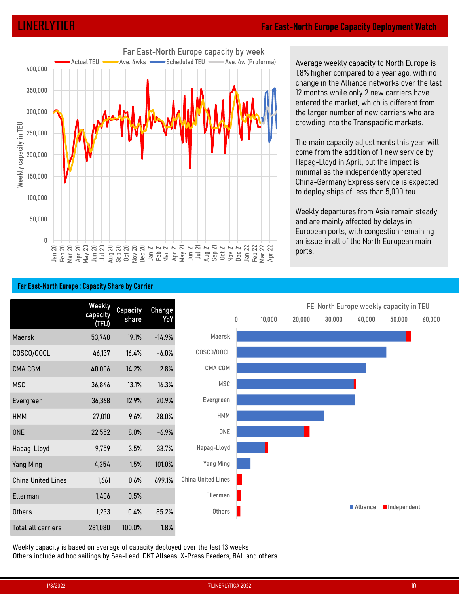

Average weekly capacity to North Europe is 1.8% higher compared to a year ago, with no change in the Alliance networks over the last 12 months while only 2 new carriers have entered the market, which is different from the larger number of new carriers who are crowding into the Transpacific markets.

The main capacity adjustments this year will come from the addition of 1 new service by Hapag-Lloyd in April, but the impact is minimal as the independently operated China-Germany Express service is expected to deploy ships of less than 5,000 teu.

Weekly departures from Asia remain steady and are mainly affected by delays in European ports, with congestion remaining an issue in all of the North European main ports.



Far East-North Europe : Capacity Share by Carrier

Weekly capacity is based on average of capacity deployed over the last 13 weeks Others include ad hoc sailings by Sea-Lead, DKT Allseas, X-Press Feeders, BAL and others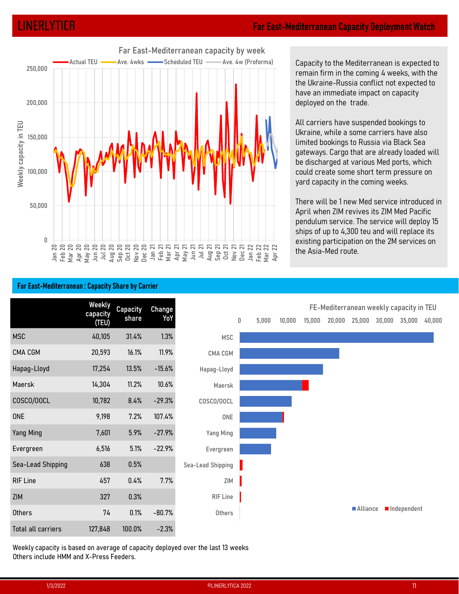

Capacity to the Mediterranean is expected to remain firm in the coming 4 weeks, with the **diterranean Capacity Deployment Watch<br>Capacity to the Mediterranean is expected to<br>remain firm in the coming 4 weeks, with the<br>the Ukraine-Russia conflict not expected to<br>have an immediate impact on capacity<br>deployed on t** have an immediate impact on capacity deployed on the trade.

All carriers have suspended bookings to Ukraine, while a some carriers have also limited bookings to Russia via Black Sea gateways. Cargo that are already loaded will be discharged at various Med ports, which could create some short term pressure on yard capacity in the coming weeks. Capacity to the Mediterranean is expected to<br>remain firm in the coming 4 weeks, with the<br>the Ukraine-Russia conflict not expected to<br>have an immediate impact on capacity<br>deployed on the trade.<br>All carriers have suspended b

There will be 1 new Med service introduced in April when ZIM revives its ZIM Med Pacific pendulum service. The service will deploy 15 existing participation on the 2M services on the Asia-Med route.

# 10,782 8.4% -29.3% COSCO/OOCL<br>
9,198 7.2% 107.4% ONE<br>
7,601 5.9% -27.9% Yang Ming<br>
6,516 5.1% -22.9% Evergreen<br>
hipping 638 0.5% Sea-Lead Shipping<br>
457 0.4% 7.7% ZIM<br>
927 0.3% RIF Line<br>
74 0.1% -80.7% Others<br>
127,848 100.0 Weekly<br>
capacity Capacity Change<br>
(TEU) share YoY Capacity Change<br>Share YoY and a share CMA CGM 20,593 16.1% 11.9%  $\frac{32}{50,000}$ <br>  $\frac{1}{30,000}$ <br>  $\frac{1}{30,000}$ <br>  $\frac{1}{30,000}$ <br>  $\frac{1}{30,000}$ <br>  $\frac{1}{30,000}$ <br>  $\frac{1}{30,000}$ <br>  $\frac{1}{30,000}$ <br>  $\frac{1}{30,000}$ <br>  $\frac{1}{30,000}$ <br>  $\frac{1}{30,000}$ <br>  $\frac{1}{30,000}$ <br>  $\frac{1}{30,000}$ <br>  $\frac{1}{30,000$ Matrix Mediterranean: Capacity Share by Cancel Matrix 11.2% 10.6%<br>
Macris 2012 10.4% 10.6% 10.10% 10.4% 10.4% 10.6% 10.6% 10.6% 10.6% 10.6% 10.6% 10.6% 10.6% 10.6% 10.6% 10.6% 10.6% 10.6% 10.6% 10.6% 10.6% 10.6% 10.6% 10. April when ZM reviews its ZM March 2015<br>
SCORC RESERVERS REGISTER REGISTER REGISTER IN 1976<br>
SCORCING THE SERVER REGISTER REGISTER REGISTER REGISTER REGISTER IN 1976<br>
SCORCING THE SERVER CONSULT THE SERVER CONSULTS AND LOC ONE 9,198 7.2% 107.4% Yang Ming 7,601 5.9% -27.9% Evergreen 6,516 5.1% -22.9% **Facebook Compactly Share by Carrier**<br> **Sea-Lead Shipping 648 0.5.000 10,000 15,000 25,000**<br>
IMSC 40,105 31.4% 1.3% MSC 40,000 15,000 28,000 25,000<br>
IMSC 40,105 31.4% 1.3% MSC CMA CGM<br>
Magng-Lloyd 17.254 13.5% -15.6% Hapag RIF Line Conservation Change<br>
MSC 40,005 314% 13% MSC 6.000 10,000 15,000 20,000 25,000 30,000 35<br>
RMA CEM 20,593 16.7% 11.7% CMA CEM<br>
Hapag-Lloyd 17,254 13.5% -15.6% Hapag-Lloyd<br>
Maersk 14,304 11.2% 10.6% Mapag-Lloyd<br>
Mor Mescont Capacity Change<br>
CRUM 2015 31.4% 1.3% MSC<br>
CMA CCM<br>
CMA CCM<br>
Mapsg-Lloyd 17.254 13.5% -15.6% Hapsg-Lloyd<br>
Maersk 14.304 11.2% 10.6% Maersk Maersk Matersk 14.304 11.2% 10.6% Maersk Mapsg-Lloyd<br>
Maersk 14.304 11.2% 1 MSC 40,000 31.4% 13% MSC 9000 20,000 20,000 20,000 20,000 20,000 20,000 20,000 20,000 20,000 20,000 20,000 20,000 20,000 20,000 20,000 20,000 20,000 20,000 20,000 20,000 20,000 20,000 20,000 20,000 20,000 20,000 20,000 20, Macrosoft Macrosoft 20,593 16.1% 11.9% CMA CCM<br>
Mapag-Lloyd 17,254 19.5% -15.6% Hapag-Lloyd<br>
Macrosoft 14,304 11.2% 10.6% Macrosoft<br>
COSCO/OOCL 10,782 82.4% -229.3% COSCO/OOCL<br>
COSCO/OOCL 10,792 82.4% -229.3% COSCO/OOCL<br>
O Ukraine, while a some carriers have also<br>
limited bookings to Russia via Black Sea<br>
gateways. Cargo that are already loaded will<br>
be discharged at various Med ports, which<br>
could create some short term pressure on<br>
yard ca MSC **Contract of the Contract of Contract of the Contract of Contract of Contract of Contract of Contract of Co** CMA CGM **CAN COMPUTE THE CONTRACT OF STATE OF STATE OF STATE OF STATE OF STATE OF STATE OF STATE OF STATE OF ST** Hapag-Lloyd Maersk COSCO/OOCL ONE **All and the contract of the contract of the contract of the contract of the contract of the contract of the contract of the contract of the contract of the contract of the contract of the contract of the contract of t** Yang Ming Evergreen Sea-Lead Shipping zim de la construcción de la construcción de la construcción de la construcción de la construcción de la const RIF Line **Others** FE-Mediterranean weekly capacity in TEU ■ Alliance ■ Independent

Weekly capacity is based on average of capacity deployed over the last 13 weeks Others include HMM and X-Press Feeders.

## Far East-Mediterranean : Capacity Share by Carrier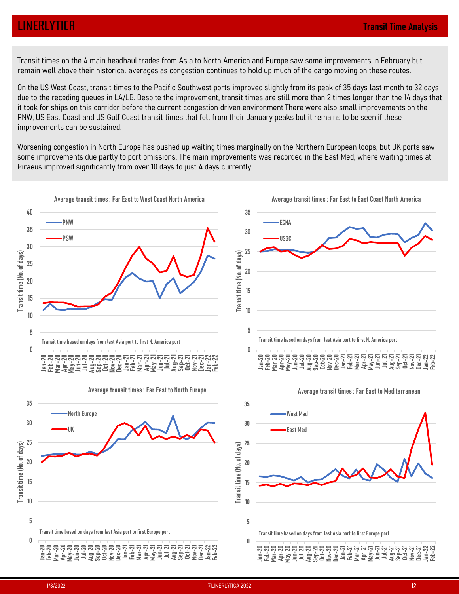# LINERLYTICA Transit Time Analysis

remain well above their historical averages as congestion continues to hold up much of the cargo moving on these routes.

**EINERLYTICH**<br>Transit times on the 4 main headhaul trades from Asia to North America and Europe saw some improvements in February but<br>Transit times on the 4 main headhaul trades from Asia to North America and Europe saw so On the US West Coast, transit times to the Pacific Southwest ports improved slightly from its peak of 35 days last month to 32 days due to the receding queues in LA/LB. Despite the improvement, transit times are still more than 2 times longer than the 14 days that it took for ships on this corridor before the current congestion driven environment There were also small improvements on the PNW, US East Coast and US Gulf Coast transit times that fell from their January peaks but it remains to be seen if these improvements can be sustained.

Worsening congestion in North Europe has pushed up waiting times marginally on the Northern European loops, but UK ports saw some improvements due partly to port omissions. The main improvements was recorded in the East Med, where waiting times at Piraeus improved significantly from over 10 days to just 4 days currently.

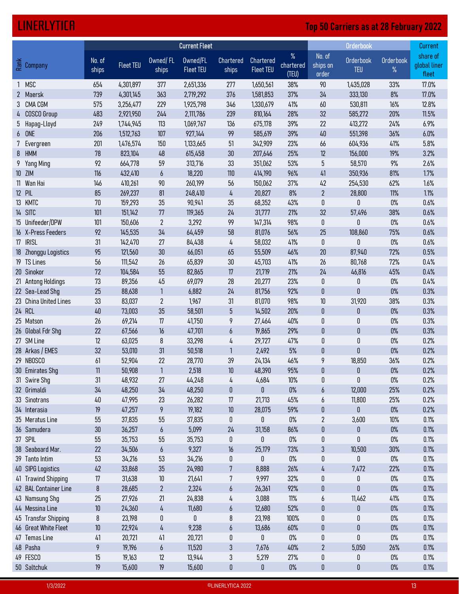# LINERLYTICA Top 50 Carriers as at 28 February 2022

| <b>LINERLYTICA</b>                       |                  |                        |                        |                              |                              |                                      |                            |                                | <b>Top 50 Carriers as at 28 February 2022</b> |                   |                                   |
|------------------------------------------|------------------|------------------------|------------------------|------------------------------|------------------------------|--------------------------------------|----------------------------|--------------------------------|-----------------------------------------------|-------------------|-----------------------------------|
|                                          |                  |                        |                        | <b>Current Fleet</b>         |                              |                                      |                            |                                | Orderbook                                     |                   | Current                           |
| <u> 중</u> Company                        | No. of<br>ships  | <b>Fleet TEU</b>       | Owned/FL<br>ships      | Owned/FL<br><b>Fleet TEU</b> | Chartered<br>ships           | <b>Chartered</b><br><b>Fleet TEU</b> | $\%$<br>chartered<br>(TEU) | No. of<br>ships on<br>order    | Orderbook<br><b>TEU</b>                       | Orderbook<br>$\%$ | share of<br>global liner<br>fleet |
| MSC                                      | 654              | 4,301,897              | 377                    | 2,651,336                    | 277                          | 1,650,561                            | 38%                        | 90                             | 1,435,028                                     | 33%               | 17.0%                             |
| 2 Maersk<br>3 CMA CGM                    | 739<br>575       | 4,301,145<br>3,256,477 | 363<br>229             | 2,719,292<br>1,925,798       | 376<br>346                   | 1,581,853<br>1,330,679               | 37%<br>41%                 | 34<br>60                       | 333,130<br>530,811                            | 8%<br>16%         | 17.0%<br>12.8%                    |
| 4 COSCO Group                            | 483              | 2,921,950              | 244                    | 2,111,786                    | 239                          | 810,164                              | 28%                        | 32                             | 585,272                                       | 20%               | 11.5%                             |
| 5 Hapag-Lloyd                            | 249              | 1,744,945              | 113                    | 1,069,767                    | 136                          | 675,178                              | 39%                        | 22                             | 413,272                                       | 24%               | 6.9%                              |
| 6 ONE                                    | 206              | 1,512,763              | 107                    | 927,144                      | 99                           | 585,619                              | 39%                        | 40                             | 551,398                                       | 36%               | 6.0%                              |
| 7 Evergreen<br>8 HMM                     | 201<br>78        | 1,476,574<br>823,104   | 150<br>48              | 1,133,665<br>615,458         | 51<br>30 <sup>°</sup>        | 342,909<br>207,646                   | 23%<br>25%                 | 66<br>12                       | 604,936<br>156,000                            | 41%<br>19%        | 5.8%<br>3.2%                      |
| 9 Yang Ming                              | 92               | 664,778                | 59                     | 313,716                      | 33                           | 351,062                              | 53%                        | $5\phantom{.0}$                | 58,570                                        | 9%                | 2.6%                              |
| 10 ZIM                                   | 116              | 432,410                | $\boldsymbol{6}$       | 18,220                       | 110                          | 414,190                              | 96%                        | 41                             | 350,936                                       | 81%               | 1.7%                              |
| 11 Wan Hai                               | 146              | 410,261                | 90                     | 260,199                      | 56                           | 150,062                              | 37%                        | 42                             | 254,530                                       | 62%               | 1.6%                              |
| 12 PIL<br>13 KMTC                        | 85<br>70         | 269,237<br>159,293     | 81<br>35               | 248,410<br>90,941            | 4<br>35                      | 20,827<br>68,352                     | 8%<br>43%                  | $\overline{2}$<br>0            | 28,800<br>0                                   | 11%<br>$0\%$      | 1.1%<br>0.6%                      |
| 14 SITC                                  | 101              | 151,142                | 77                     | 119,365                      | 24                           | 31,777                               | 21%                        | 32                             | 57,496                                        | 38%               | 0.6%                              |
| 15 Unifeeder/DPW                         | 101              | 150,606                | $\overline{2}$         | 3,292                        | 99                           | 147,314                              | 98%                        | $\mathbf 0$                    | 0                                             | $0\%$             | 0.6%                              |
| 16 X-Press Feeders                       | 92               | 145,535                | 34                     | 64,459                       | 58                           | 81,076                               | 56%                        | 25                             | 108,860                                       | 75%               | 0.6%                              |
| 17 IRISL                                 | 31               | 142,470                | 27                     | 84,438                       | 4                            | 58,032                               | 41%                        | $\mathbf 0$                    | 0                                             | $0\%$             | 0.6%                              |
| 18 Zhonggu Logistics<br>19 TS Lines      | 95<br>56         | 121,560<br>111,542     | 30 <sub>2</sub><br>26  | 66,051<br>65,839             | 65<br>30 <sup>°</sup>        | 55,509<br>45,703                     | 46%<br>41%                 | $20\,$<br>26                   | 87,940<br>80,768                              | 72%<br>72%        | 0.5%<br>0.4%                      |
| 20 Sinokor                               | 72               | 104,584                | 55                     | 82,865                       | 17                           | 21,719                               | 21%                        | 24                             | 46,816                                        | 45%               | 0.4%                              |
| 21 Antong Holdings                       | 73               | 89,356                 | 45                     | 69,079                       | 28                           | 20,277                               | 23%                        | $\pmb{0}$                      | 0                                             | $0\%$             | 0.4%                              |
| 22 Sea-Lead Shg                          | 25               | 88,638                 | $\mathbf{1}$           | 6,882                        | 24                           | 81,756                               | 92%                        | $\pmb{0}$                      | $\mathbf{0}$                                  | $0\%$             | 0.3%                              |
| 23 China United Lines<br>24 RCL          | 33<br>40         | 83,037<br>73,003       | $\overline{2}$<br>35   | 1,967<br>58,501              | 31<br>$5\phantom{.0}$        | 81,070<br>14,502                     | 98%<br>20%                 | 10 <sup>°</sup><br>$\mathbf 0$ | 31,920<br>$\pmb{0}$                           | 38%<br>0%         | 0.3%<br>0.3%                      |
| 25 Matson                                | 26               | 69,214                 | 17                     | 41,750                       | 9                            | 27,464                               | 40%                        | $\pmb{0}$                      | 0                                             | $0\%$             | 0.3%                              |
| 26 Global Fdr Shg                        | 22               | 67,566                 | 16                     | 47,701                       | $\boldsymbol{6}$             | 19,865                               | 29%                        | $\mathbf 0$                    | $\mathbf{0}$                                  | $0\%$             | 0.3%                              |
| 27 SM Line                               | 12               | 63,025                 | 8                      | 33,298                       | 4                            | 29,727                               | 47%                        | $\mathbf 0$                    | 0                                             | $0\%$             | 0.2%                              |
| 28 Arkas / EMES                          | 32               | 53,010                 | 31                     | 50,518                       | $\mathbf{1}$                 | 2,492                                | 5%                         | $\mathbf 0$<br>9               | $\mathbf 0$<br>18,850                         | $0\%$             | 0.2%<br>0.2%                      |
| 29 NBOSCO<br>30 Emirates Shg             | 61<br>11         | 52,904<br>50,908       | 22<br>$\overline{1}$   | 28,770<br>2,518              | 39<br>10 <sup>°</sup>        | 24,134<br>48,390                     | 46%<br>95%                 | $\pmb{0}$                      | $\pmb{0}$                                     | 36%<br>$0\%$      | 0.2%                              |
| 31 Swire Shg                             | 31               | 48,932                 | 27                     | 44,248                       | 4                            | 4,684                                | 10%                        | $\pmb{0}$                      | 0                                             | $0\%$             | 0.2%                              |
| 32 Grimaldi                              | 34               | 48,250                 | 34                     | 48,250                       | $\pmb{0}$                    | $\pmb{0}$                            | $0\%$                      | $\boldsymbol{6}$               | 12,000                                        | 25%               | 0.2%                              |
| 33 Sinotrans                             | 40               | 47,995                 | 23                     | 26,282                       | $17\,$                       | 21,713                               | 45%                        | 6                              | 11,800                                        | 25%               | 0.2%                              |
| 34 Interasia<br>35 Meratus Line          | 19<br>55         | 47,257<br>37,835       | 9<br>55                | 19,182<br>37,835             | 10 <sup>°</sup><br>$\pmb{0}$ | 28,075<br>$\pmb{0}$                  | 59%<br>$0\%$               | $\mathbf 0$<br>$\overline{2}$  | $\mathbf{0}$<br>3,600                         | $0\%$<br>10%      | 0.2%<br>0.1%                      |
| 36 Samudera                              | 30 <sup>°</sup>  | 36,257                 | $\boldsymbol{6}$       | 5,099                        | 24                           | 31,158                               | 86%                        | $\mathbf{0}$                   | $\mathbf 0$                                   | $0\%$             | 0.1%                              |
| 37 SPIL                                  | 55               | 35,753                 | 55                     | 35,753                       | $\pmb{0}$                    | $\mathbf 0$                          | $0\%$                      | $\pmb{0}$                      | 0                                             | $0\%$             | 0.1%                              |
| 38 Seaboard Mar.                         | 22               | 34,506                 | $\boldsymbol{b}$       | 9,327                        | 16                           | 25,179                               | 73%                        | $\mathbf{3}$                   | 10,500                                        | 30%               | 0.1%                              |
| 39 Tanto Intim                           | 53               | 34,216                 | 53                     | 34,216                       | 0                            | $\mathbf 0$                          | $0\%$                      | 0                              | $\mathbf 0$                                   | $0\%$             | 0.1%                              |
| 40 SIPG Logistics<br>41 Trawind Shipping | 42<br>17         | 33,868<br>31,638       | 35<br>10 <sup>°</sup>  | 24,980<br>21,641             | $7\phantom{.0}$<br>7         | 8,888<br>9,997                       | 26%<br>32%                 | 4<br>$\pmb{0}$                 | 7,472<br>$\mathbf 0$                          | 22%<br>$0\%$      | 0.1%<br>0.1%                      |
| 42 BAL Container Line                    | 8                | 28,685                 | $\overline{2}$         | 2,324                        | $\boldsymbol{6}$             | 26,361                               | 92%                        | $\mathbf 0$                    | $\mathbf{0}$                                  | $0\%$             | 0.1%                              |
| 43 Namsung Shg                           | 25               | 27,926                 | 21                     | 24,838                       | 4                            | 3,088                                | $11\%$                     | 6                              | 11,462                                        | 41%               | 0.1%                              |
| 44 Messina Line                          | 10               | 24,360                 | 4                      | 11,680                       | 6                            | 12,680                               | 52%                        | $\mathbf{0}$                   | $\mathbf{0}$                                  | $0\%$             | 0.1%                              |
| 45 Transfar Shipping                     | 8                | 23,198                 | $\pmb{0}$              | 0                            | 8                            | 23,198                               | 100%                       | $\pmb{0}$                      | 0                                             | 0%                | 0.1%                              |
| 46 Great White Fleet                     | 10 <sup>°</sup>  | 22,924                 | 4                      | 9,238                        | $\boldsymbol{6}$             | 13,686                               | 60%                        | $\mathbf 0$                    | $\mathbf 0$                                   | $0\%$             | 0.1%                              |
| 47 Temas Line<br>48 Pasha                | 41<br>9          | 20,721<br>19,196       | 41<br>$\boldsymbol{6}$ | 20,721<br>11,520             | 0<br>$\mathbf{3}$            | $\mathbf 0$<br>7,676                 | $0\%$<br>40%               | 0<br>$\mathbf{2}$              | 0<br>5,050                                    | $0\%$<br>26%      | 0.1%<br>0.1%                      |
| 49 FESCO                                 | 15 <sup>15</sup> | 19,163                 | 12                     | 13,944                       | $\mathbf{3}$                 | 5,219                                | 27%                        | 0                              | 0                                             | $0\%$             | 0.1%                              |
| 50 Saltchuk                              | 19 <sup>°</sup>  | 15,600                 | 19                     | 15,600                       | $\pmb{0}$                    | $\mathbf 0$                          | $0\%$                      | $\pmb{0}$                      | $\mathbf 0$                                   | $0\%$             | 0.1%                              |
| 1/3/2022                                 |                  |                        |                        |                              | ©LINERLYTICA 2022            |                                      |                            |                                |                                               |                   |                                   |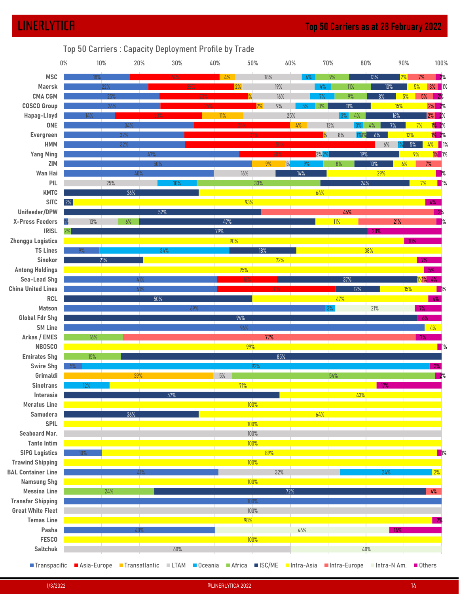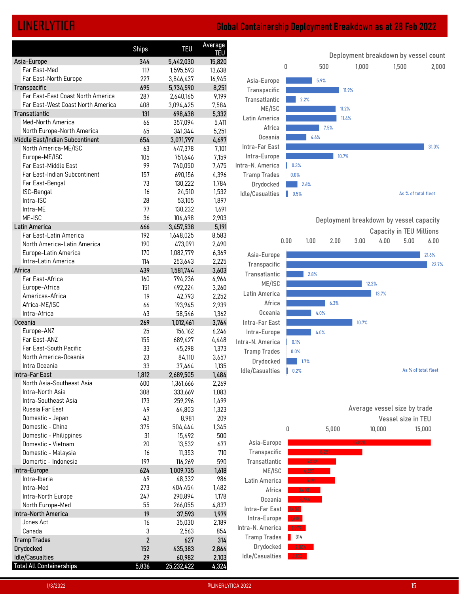# LINERLYTICA Global Containership Deployment Breakdown as at 28 Feb 2022

| Average<br><b>TEU</b><br><b>Ships</b><br><b>TEU</b><br>Deployment breakdown by vessel count<br>344<br>5,442,030<br>15,820<br>0<br>500<br>1,000<br>1,500<br>Far East-Med<br>117<br>1,595,593<br>13,638<br>Far East-North Europe<br>227<br>3,846,437<br>16,945<br>Asia-Europe<br>5.9%<br>695<br>8,251<br>5,734,590<br>Transpacific<br>11.9%<br>Far East-East Coast North America<br>287<br>9,199<br>2,640,165<br>Transatlantic<br>2.2%<br>Far East-West Coast North America<br>408<br>7,584<br>3,094,425<br>ME/ISC<br>11.2%<br>131<br>5,332<br>698,438<br>Latin America<br>11.4%<br>Med-North America<br>5,411<br>66<br>357,094<br>Africa<br>7.5%<br>North Europe-North America<br>65<br>5,251<br>341,344<br>Oceania<br>4.6%<br>654<br>3,071,797<br>4,697<br>Intra-Far East<br>31.0%<br>7,101<br>North America-ME/ISC<br>63<br>447,378<br>Intra-Europe<br>10.7%<br>Europe-ME/ISC<br>7,159<br>105<br>751,646<br>Far East-Middle East<br>99<br>7,475<br>Intra-N. America<br>740,050<br>0.3%<br>Far East-Indian Subcontinent<br>157<br>690,156<br>4,396<br><b>Tramp Trades</b><br>0.0%<br>Far East-Bengal<br>73<br>1,784<br>130,222<br>Drydocked<br>2.6%<br>ISC-Bengal<br>16<br>1,532<br>24,510<br>Idle/Casualties<br>$\blacksquare$ 0.5%<br>As % of total fleet<br>Intra-ISC<br>28<br>1,897<br>53,105<br>Intra-ME<br>77<br>130,232<br>1,691<br>ME-ISC<br>36<br>104,498<br>2,903<br>Deployment breakdown by vessel capacity<br>666<br>3,457,538<br>5,191<br><b>Capacity in TEU Millions</b><br>Far East-Latin America<br>8,583<br>192<br>1,648,025<br>5.00<br>0.00<br>2.00<br>4.00<br>6.00<br>1.00<br>3.00<br>North America-Latin America<br>2,490<br>190<br>473,091<br>Europe-Latin America<br>170<br>6,369<br>1,082,779<br>Asia-Europe<br>21.6%<br>Intra-Latin America<br>114<br>2,225<br>253,643<br>Transpacific<br>3,603<br>439<br>1,581,744<br>Transatlantic<br>2.8%<br>Far East-Africa<br>160<br>4,964<br>794,236<br>ME/ISC<br>12.2%<br>Europe-Africa<br>151<br>492,224<br>3,260<br>Latin America<br>13.7%<br>Americas-Africa<br>19<br>42,793<br>2,252<br>6.3%<br>Africa<br>Africa-ME/ISC<br>66<br>193,945<br>2,939<br>Oceania<br>4.0%<br>43<br>Intra-Africa<br>58,546<br>1,362<br>3,764<br>269<br>1,012,461<br>Intra-Far East<br>10.7%<br>Europe-ANZ<br>25<br>6,246<br>156,162<br>Intra-Europe<br>4.0%<br>Far East-ANZ<br>155<br>4,448<br>689,427<br>Intra-N. America<br>0.1%<br>1,373<br>Far East-South Pacific<br>33<br>45,298<br><b>Tramp Trades</b><br>0.0%<br>North America-Oceania<br>23<br>84,110<br>3,657<br>Drydocked<br>$\parallel$ 1.7%<br>Intra Oceania<br>33<br>37,464<br>1,135<br>As % of total fleet<br>Idle/Casualties<br>$\parallel$ 0.2%<br>1,812<br>1,484<br>2,689,505<br>North Asia-Southeast Asia<br>600<br>2,269<br>1,361,666<br>Intra-North Asia<br>308<br>1,083<br>333,669<br>Intra-Southeast Asia<br>1,499<br>173<br>259,296<br>Average vessel size by trade<br>Russia Far East<br>49<br>64,803<br>1,323<br>209<br>Domestic - Japan<br>43<br>8,981<br>Vessel size in TEU<br>Domestic - China<br>375<br>504,444<br>1,345<br>0<br>5,000<br>10,000<br>15,000<br>Domestic - Philippines<br>31<br>15,492<br>500<br>Asia-Europe<br>15820<br>Domestic - Vietnam<br>20<br>13,532<br>677<br>Transpacific<br>Domestic - Malaysia<br>16<br>11,353<br>710<br>8 251<br>Transatlantic<br>Domertic - Indonesia<br>197<br>116,269<br>590<br>624<br>1,009,735<br>1,618<br>ME/ISC<br>4697<br>Intra-Iberia<br>49<br>48,332<br>986<br>Latin America<br>5.191<br>Intra-Med<br>1,482<br>273<br>404,454<br>Africa<br>3,603<br>Intra-North Europe<br>247<br>1,178<br>290,894<br>Oceania<br>3.764<br>North Europe-Med<br>55<br>4,837<br>266,055<br>Intra-Far East<br>19<br>1,979<br>37,593<br>Intra-Europe<br>518 <sup>2</sup><br>Jones Act<br>16<br>2,189<br>35,030<br>Intra-N. America<br>979<br>$\mathsf 3$<br>2,563<br>854<br>Canada<br>314<br><b>Tramp Trades</b><br>$\overline{2}$<br>627<br>314<br>Drydocked<br>2.864<br>152<br>435,383<br>2,864<br>Idle/Casualties<br>29<br>2,103<br>2,103<br>60,982<br>5,836<br>4,324<br>25,232,422 |             |  |  |  | <b>Global Containership Deployment Breakdown as at 28 Feb 2022</b> |       |
|------------------------------------------------------------------------------------------------------------------------------------------------------------------------------------------------------------------------------------------------------------------------------------------------------------------------------------------------------------------------------------------------------------------------------------------------------------------------------------------------------------------------------------------------------------------------------------------------------------------------------------------------------------------------------------------------------------------------------------------------------------------------------------------------------------------------------------------------------------------------------------------------------------------------------------------------------------------------------------------------------------------------------------------------------------------------------------------------------------------------------------------------------------------------------------------------------------------------------------------------------------------------------------------------------------------------------------------------------------------------------------------------------------------------------------------------------------------------------------------------------------------------------------------------------------------------------------------------------------------------------------------------------------------------------------------------------------------------------------------------------------------------------------------------------------------------------------------------------------------------------------------------------------------------------------------------------------------------------------------------------------------------------------------------------------------------------------------------------------------------------------------------------------------------------------------------------------------------------------------------------------------------------------------------------------------------------------------------------------------------------------------------------------------------------------------------------------------------------------------------------------------------------------------------------------------------------------------------------------------------------------------------------------------------------------------------------------------------------------------------------------------------------------------------------------------------------------------------------------------------------------------------------------------------------------------------------------------------------------------------------------------------------------------------------------------------------------------------------------------------------------------------------------------------------------------------------------------------------------------------------------------------------------------------------------------------------------------------------------------------------------------------------------------------------------------------------------------------------------------------------------------------------------------------------------------------------------------------------------------------------------------------------------------------------------------------------------------------------------------------------------------------------------------------------------------------------------------------------------------------------------------------------------------------------------------------------------------------------------------------------------------------------------------------|-------------|--|--|--|--------------------------------------------------------------------|-------|
| 2,000                                                                                                                                                                                                                                                                                                                                                                                                                                                                                                                                                                                                                                                                                                                                                                                                                                                                                                                                                                                                                                                                                                                                                                                                                                                                                                                                                                                                                                                                                                                                                                                                                                                                                                                                                                                                                                                                                                                                                                                                                                                                                                                                                                                                                                                                                                                                                                                                                                                                                                                                                                                                                                                                                                                                                                                                                                                                                                                                                                                                                                                                                                                                                                                                                                                                                                                                                                                                                                                                                                                                                                                                                                                                                                                                                                                                                                                                                                                                                                                                                                          |             |  |  |  |                                                                    |       |
| Transpacific<br>Transatlantic<br><b>Latin America</b><br>Drydocked                                                                                                                                                                                                                                                                                                                                                                                                                                                                                                                                                                                                                                                                                                                                                                                                                                                                                                                                                                                                                                                                                                                                                                                                                                                                                                                                                                                                                                                                                                                                                                                                                                                                                                                                                                                                                                                                                                                                                                                                                                                                                                                                                                                                                                                                                                                                                                                                                                                                                                                                                                                                                                                                                                                                                                                                                                                                                                                                                                                                                                                                                                                                                                                                                                                                                                                                                                                                                                                                                                                                                                                                                                                                                                                                                                                                                                                                                                                                                                             | Asia-Europe |  |  |  |                                                                    |       |
|                                                                                                                                                                                                                                                                                                                                                                                                                                                                                                                                                                                                                                                                                                                                                                                                                                                                                                                                                                                                                                                                                                                                                                                                                                                                                                                                                                                                                                                                                                                                                                                                                                                                                                                                                                                                                                                                                                                                                                                                                                                                                                                                                                                                                                                                                                                                                                                                                                                                                                                                                                                                                                                                                                                                                                                                                                                                                                                                                                                                                                                                                                                                                                                                                                                                                                                                                                                                                                                                                                                                                                                                                                                                                                                                                                                                                                                                                                                                                                                                                                                |             |  |  |  |                                                                    |       |
|                                                                                                                                                                                                                                                                                                                                                                                                                                                                                                                                                                                                                                                                                                                                                                                                                                                                                                                                                                                                                                                                                                                                                                                                                                                                                                                                                                                                                                                                                                                                                                                                                                                                                                                                                                                                                                                                                                                                                                                                                                                                                                                                                                                                                                                                                                                                                                                                                                                                                                                                                                                                                                                                                                                                                                                                                                                                                                                                                                                                                                                                                                                                                                                                                                                                                                                                                                                                                                                                                                                                                                                                                                                                                                                                                                                                                                                                                                                                                                                                                                                |             |  |  |  |                                                                    |       |
|                                                                                                                                                                                                                                                                                                                                                                                                                                                                                                                                                                                                                                                                                                                                                                                                                                                                                                                                                                                                                                                                                                                                                                                                                                                                                                                                                                                                                                                                                                                                                                                                                                                                                                                                                                                                                                                                                                                                                                                                                                                                                                                                                                                                                                                                                                                                                                                                                                                                                                                                                                                                                                                                                                                                                                                                                                                                                                                                                                                                                                                                                                                                                                                                                                                                                                                                                                                                                                                                                                                                                                                                                                                                                                                                                                                                                                                                                                                                                                                                                                                |             |  |  |  |                                                                    |       |
|                                                                                                                                                                                                                                                                                                                                                                                                                                                                                                                                                                                                                                                                                                                                                                                                                                                                                                                                                                                                                                                                                                                                                                                                                                                                                                                                                                                                                                                                                                                                                                                                                                                                                                                                                                                                                                                                                                                                                                                                                                                                                                                                                                                                                                                                                                                                                                                                                                                                                                                                                                                                                                                                                                                                                                                                                                                                                                                                                                                                                                                                                                                                                                                                                                                                                                                                                                                                                                                                                                                                                                                                                                                                                                                                                                                                                                                                                                                                                                                                                                                |             |  |  |  |                                                                    |       |
| Middle East/Indian Subcontinent<br>Intra-Far East<br>Intra-Europe<br>Intra-North America<br><b>Tramp Trades</b><br>Idle/Casualties                                                                                                                                                                                                                                                                                                                                                                                                                                                                                                                                                                                                                                                                                                                                                                                                                                                                                                                                                                                                                                                                                                                                                                                                                                                                                                                                                                                                                                                                                                                                                                                                                                                                                                                                                                                                                                                                                                                                                                                                                                                                                                                                                                                                                                                                                                                                                                                                                                                                                                                                                                                                                                                                                                                                                                                                                                                                                                                                                                                                                                                                                                                                                                                                                                                                                                                                                                                                                                                                                                                                                                                                                                                                                                                                                                                                                                                                                                             |             |  |  |  |                                                                    |       |
| Africa<br>Oceania<br><b>Total All Containerships</b>                                                                                                                                                                                                                                                                                                                                                                                                                                                                                                                                                                                                                                                                                                                                                                                                                                                                                                                                                                                                                                                                                                                                                                                                                                                                                                                                                                                                                                                                                                                                                                                                                                                                                                                                                                                                                                                                                                                                                                                                                                                                                                                                                                                                                                                                                                                                                                                                                                                                                                                                                                                                                                                                                                                                                                                                                                                                                                                                                                                                                                                                                                                                                                                                                                                                                                                                                                                                                                                                                                                                                                                                                                                                                                                                                                                                                                                                                                                                                                                           |             |  |  |  |                                                                    |       |
|                                                                                                                                                                                                                                                                                                                                                                                                                                                                                                                                                                                                                                                                                                                                                                                                                                                                                                                                                                                                                                                                                                                                                                                                                                                                                                                                                                                                                                                                                                                                                                                                                                                                                                                                                                                                                                                                                                                                                                                                                                                                                                                                                                                                                                                                                                                                                                                                                                                                                                                                                                                                                                                                                                                                                                                                                                                                                                                                                                                                                                                                                                                                                                                                                                                                                                                                                                                                                                                                                                                                                                                                                                                                                                                                                                                                                                                                                                                                                                                                                                                |             |  |  |  |                                                                    |       |
|                                                                                                                                                                                                                                                                                                                                                                                                                                                                                                                                                                                                                                                                                                                                                                                                                                                                                                                                                                                                                                                                                                                                                                                                                                                                                                                                                                                                                                                                                                                                                                                                                                                                                                                                                                                                                                                                                                                                                                                                                                                                                                                                                                                                                                                                                                                                                                                                                                                                                                                                                                                                                                                                                                                                                                                                                                                                                                                                                                                                                                                                                                                                                                                                                                                                                                                                                                                                                                                                                                                                                                                                                                                                                                                                                                                                                                                                                                                                                                                                                                                |             |  |  |  |                                                                    |       |
|                                                                                                                                                                                                                                                                                                                                                                                                                                                                                                                                                                                                                                                                                                                                                                                                                                                                                                                                                                                                                                                                                                                                                                                                                                                                                                                                                                                                                                                                                                                                                                                                                                                                                                                                                                                                                                                                                                                                                                                                                                                                                                                                                                                                                                                                                                                                                                                                                                                                                                                                                                                                                                                                                                                                                                                                                                                                                                                                                                                                                                                                                                                                                                                                                                                                                                                                                                                                                                                                                                                                                                                                                                                                                                                                                                                                                                                                                                                                                                                                                                                |             |  |  |  |                                                                    |       |
|                                                                                                                                                                                                                                                                                                                                                                                                                                                                                                                                                                                                                                                                                                                                                                                                                                                                                                                                                                                                                                                                                                                                                                                                                                                                                                                                                                                                                                                                                                                                                                                                                                                                                                                                                                                                                                                                                                                                                                                                                                                                                                                                                                                                                                                                                                                                                                                                                                                                                                                                                                                                                                                                                                                                                                                                                                                                                                                                                                                                                                                                                                                                                                                                                                                                                                                                                                                                                                                                                                                                                                                                                                                                                                                                                                                                                                                                                                                                                                                                                                                |             |  |  |  |                                                                    |       |
|                                                                                                                                                                                                                                                                                                                                                                                                                                                                                                                                                                                                                                                                                                                                                                                                                                                                                                                                                                                                                                                                                                                                                                                                                                                                                                                                                                                                                                                                                                                                                                                                                                                                                                                                                                                                                                                                                                                                                                                                                                                                                                                                                                                                                                                                                                                                                                                                                                                                                                                                                                                                                                                                                                                                                                                                                                                                                                                                                                                                                                                                                                                                                                                                                                                                                                                                                                                                                                                                                                                                                                                                                                                                                                                                                                                                                                                                                                                                                                                                                                                |             |  |  |  |                                                                    |       |
|                                                                                                                                                                                                                                                                                                                                                                                                                                                                                                                                                                                                                                                                                                                                                                                                                                                                                                                                                                                                                                                                                                                                                                                                                                                                                                                                                                                                                                                                                                                                                                                                                                                                                                                                                                                                                                                                                                                                                                                                                                                                                                                                                                                                                                                                                                                                                                                                                                                                                                                                                                                                                                                                                                                                                                                                                                                                                                                                                                                                                                                                                                                                                                                                                                                                                                                                                                                                                                                                                                                                                                                                                                                                                                                                                                                                                                                                                                                                                                                                                                                |             |  |  |  |                                                                    |       |
|                                                                                                                                                                                                                                                                                                                                                                                                                                                                                                                                                                                                                                                                                                                                                                                                                                                                                                                                                                                                                                                                                                                                                                                                                                                                                                                                                                                                                                                                                                                                                                                                                                                                                                                                                                                                                                                                                                                                                                                                                                                                                                                                                                                                                                                                                                                                                                                                                                                                                                                                                                                                                                                                                                                                                                                                                                                                                                                                                                                                                                                                                                                                                                                                                                                                                                                                                                                                                                                                                                                                                                                                                                                                                                                                                                                                                                                                                                                                                                                                                                                |             |  |  |  |                                                                    |       |
|                                                                                                                                                                                                                                                                                                                                                                                                                                                                                                                                                                                                                                                                                                                                                                                                                                                                                                                                                                                                                                                                                                                                                                                                                                                                                                                                                                                                                                                                                                                                                                                                                                                                                                                                                                                                                                                                                                                                                                                                                                                                                                                                                                                                                                                                                                                                                                                                                                                                                                                                                                                                                                                                                                                                                                                                                                                                                                                                                                                                                                                                                                                                                                                                                                                                                                                                                                                                                                                                                                                                                                                                                                                                                                                                                                                                                                                                                                                                                                                                                                                |             |  |  |  |                                                                    |       |
|                                                                                                                                                                                                                                                                                                                                                                                                                                                                                                                                                                                                                                                                                                                                                                                                                                                                                                                                                                                                                                                                                                                                                                                                                                                                                                                                                                                                                                                                                                                                                                                                                                                                                                                                                                                                                                                                                                                                                                                                                                                                                                                                                                                                                                                                                                                                                                                                                                                                                                                                                                                                                                                                                                                                                                                                                                                                                                                                                                                                                                                                                                                                                                                                                                                                                                                                                                                                                                                                                                                                                                                                                                                                                                                                                                                                                                                                                                                                                                                                                                                |             |  |  |  |                                                                    |       |
|                                                                                                                                                                                                                                                                                                                                                                                                                                                                                                                                                                                                                                                                                                                                                                                                                                                                                                                                                                                                                                                                                                                                                                                                                                                                                                                                                                                                                                                                                                                                                                                                                                                                                                                                                                                                                                                                                                                                                                                                                                                                                                                                                                                                                                                                                                                                                                                                                                                                                                                                                                                                                                                                                                                                                                                                                                                                                                                                                                                                                                                                                                                                                                                                                                                                                                                                                                                                                                                                                                                                                                                                                                                                                                                                                                                                                                                                                                                                                                                                                                                |             |  |  |  |                                                                    |       |
|                                                                                                                                                                                                                                                                                                                                                                                                                                                                                                                                                                                                                                                                                                                                                                                                                                                                                                                                                                                                                                                                                                                                                                                                                                                                                                                                                                                                                                                                                                                                                                                                                                                                                                                                                                                                                                                                                                                                                                                                                                                                                                                                                                                                                                                                                                                                                                                                                                                                                                                                                                                                                                                                                                                                                                                                                                                                                                                                                                                                                                                                                                                                                                                                                                                                                                                                                                                                                                                                                                                                                                                                                                                                                                                                                                                                                                                                                                                                                                                                                                                |             |  |  |  |                                                                    |       |
|                                                                                                                                                                                                                                                                                                                                                                                                                                                                                                                                                                                                                                                                                                                                                                                                                                                                                                                                                                                                                                                                                                                                                                                                                                                                                                                                                                                                                                                                                                                                                                                                                                                                                                                                                                                                                                                                                                                                                                                                                                                                                                                                                                                                                                                                                                                                                                                                                                                                                                                                                                                                                                                                                                                                                                                                                                                                                                                                                                                                                                                                                                                                                                                                                                                                                                                                                                                                                                                                                                                                                                                                                                                                                                                                                                                                                                                                                                                                                                                                                                                |             |  |  |  |                                                                    | 22.7% |
|                                                                                                                                                                                                                                                                                                                                                                                                                                                                                                                                                                                                                                                                                                                                                                                                                                                                                                                                                                                                                                                                                                                                                                                                                                                                                                                                                                                                                                                                                                                                                                                                                                                                                                                                                                                                                                                                                                                                                                                                                                                                                                                                                                                                                                                                                                                                                                                                                                                                                                                                                                                                                                                                                                                                                                                                                                                                                                                                                                                                                                                                                                                                                                                                                                                                                                                                                                                                                                                                                                                                                                                                                                                                                                                                                                                                                                                                                                                                                                                                                                                |             |  |  |  |                                                                    |       |
|                                                                                                                                                                                                                                                                                                                                                                                                                                                                                                                                                                                                                                                                                                                                                                                                                                                                                                                                                                                                                                                                                                                                                                                                                                                                                                                                                                                                                                                                                                                                                                                                                                                                                                                                                                                                                                                                                                                                                                                                                                                                                                                                                                                                                                                                                                                                                                                                                                                                                                                                                                                                                                                                                                                                                                                                                                                                                                                                                                                                                                                                                                                                                                                                                                                                                                                                                                                                                                                                                                                                                                                                                                                                                                                                                                                                                                                                                                                                                                                                                                                |             |  |  |  |                                                                    |       |
|                                                                                                                                                                                                                                                                                                                                                                                                                                                                                                                                                                                                                                                                                                                                                                                                                                                                                                                                                                                                                                                                                                                                                                                                                                                                                                                                                                                                                                                                                                                                                                                                                                                                                                                                                                                                                                                                                                                                                                                                                                                                                                                                                                                                                                                                                                                                                                                                                                                                                                                                                                                                                                                                                                                                                                                                                                                                                                                                                                                                                                                                                                                                                                                                                                                                                                                                                                                                                                                                                                                                                                                                                                                                                                                                                                                                                                                                                                                                                                                                                                                |             |  |  |  |                                                                    |       |
|                                                                                                                                                                                                                                                                                                                                                                                                                                                                                                                                                                                                                                                                                                                                                                                                                                                                                                                                                                                                                                                                                                                                                                                                                                                                                                                                                                                                                                                                                                                                                                                                                                                                                                                                                                                                                                                                                                                                                                                                                                                                                                                                                                                                                                                                                                                                                                                                                                                                                                                                                                                                                                                                                                                                                                                                                                                                                                                                                                                                                                                                                                                                                                                                                                                                                                                                                                                                                                                                                                                                                                                                                                                                                                                                                                                                                                                                                                                                                                                                                                                |             |  |  |  |                                                                    |       |
|                                                                                                                                                                                                                                                                                                                                                                                                                                                                                                                                                                                                                                                                                                                                                                                                                                                                                                                                                                                                                                                                                                                                                                                                                                                                                                                                                                                                                                                                                                                                                                                                                                                                                                                                                                                                                                                                                                                                                                                                                                                                                                                                                                                                                                                                                                                                                                                                                                                                                                                                                                                                                                                                                                                                                                                                                                                                                                                                                                                                                                                                                                                                                                                                                                                                                                                                                                                                                                                                                                                                                                                                                                                                                                                                                                                                                                                                                                                                                                                                                                                |             |  |  |  |                                                                    |       |
|                                                                                                                                                                                                                                                                                                                                                                                                                                                                                                                                                                                                                                                                                                                                                                                                                                                                                                                                                                                                                                                                                                                                                                                                                                                                                                                                                                                                                                                                                                                                                                                                                                                                                                                                                                                                                                                                                                                                                                                                                                                                                                                                                                                                                                                                                                                                                                                                                                                                                                                                                                                                                                                                                                                                                                                                                                                                                                                                                                                                                                                                                                                                                                                                                                                                                                                                                                                                                                                                                                                                                                                                                                                                                                                                                                                                                                                                                                                                                                                                                                                |             |  |  |  |                                                                    |       |
|                                                                                                                                                                                                                                                                                                                                                                                                                                                                                                                                                                                                                                                                                                                                                                                                                                                                                                                                                                                                                                                                                                                                                                                                                                                                                                                                                                                                                                                                                                                                                                                                                                                                                                                                                                                                                                                                                                                                                                                                                                                                                                                                                                                                                                                                                                                                                                                                                                                                                                                                                                                                                                                                                                                                                                                                                                                                                                                                                                                                                                                                                                                                                                                                                                                                                                                                                                                                                                                                                                                                                                                                                                                                                                                                                                                                                                                                                                                                                                                                                                                |             |  |  |  |                                                                    |       |
|                                                                                                                                                                                                                                                                                                                                                                                                                                                                                                                                                                                                                                                                                                                                                                                                                                                                                                                                                                                                                                                                                                                                                                                                                                                                                                                                                                                                                                                                                                                                                                                                                                                                                                                                                                                                                                                                                                                                                                                                                                                                                                                                                                                                                                                                                                                                                                                                                                                                                                                                                                                                                                                                                                                                                                                                                                                                                                                                                                                                                                                                                                                                                                                                                                                                                                                                                                                                                                                                                                                                                                                                                                                                                                                                                                                                                                                                                                                                                                                                                                                |             |  |  |  |                                                                    |       |
|                                                                                                                                                                                                                                                                                                                                                                                                                                                                                                                                                                                                                                                                                                                                                                                                                                                                                                                                                                                                                                                                                                                                                                                                                                                                                                                                                                                                                                                                                                                                                                                                                                                                                                                                                                                                                                                                                                                                                                                                                                                                                                                                                                                                                                                                                                                                                                                                                                                                                                                                                                                                                                                                                                                                                                                                                                                                                                                                                                                                                                                                                                                                                                                                                                                                                                                                                                                                                                                                                                                                                                                                                                                                                                                                                                                                                                                                                                                                                                                                                                                |             |  |  |  |                                                                    |       |
|                                                                                                                                                                                                                                                                                                                                                                                                                                                                                                                                                                                                                                                                                                                                                                                                                                                                                                                                                                                                                                                                                                                                                                                                                                                                                                                                                                                                                                                                                                                                                                                                                                                                                                                                                                                                                                                                                                                                                                                                                                                                                                                                                                                                                                                                                                                                                                                                                                                                                                                                                                                                                                                                                                                                                                                                                                                                                                                                                                                                                                                                                                                                                                                                                                                                                                                                                                                                                                                                                                                                                                                                                                                                                                                                                                                                                                                                                                                                                                                                                                                |             |  |  |  |                                                                    |       |
|                                                                                                                                                                                                                                                                                                                                                                                                                                                                                                                                                                                                                                                                                                                                                                                                                                                                                                                                                                                                                                                                                                                                                                                                                                                                                                                                                                                                                                                                                                                                                                                                                                                                                                                                                                                                                                                                                                                                                                                                                                                                                                                                                                                                                                                                                                                                                                                                                                                                                                                                                                                                                                                                                                                                                                                                                                                                                                                                                                                                                                                                                                                                                                                                                                                                                                                                                                                                                                                                                                                                                                                                                                                                                                                                                                                                                                                                                                                                                                                                                                                |             |  |  |  |                                                                    |       |
|                                                                                                                                                                                                                                                                                                                                                                                                                                                                                                                                                                                                                                                                                                                                                                                                                                                                                                                                                                                                                                                                                                                                                                                                                                                                                                                                                                                                                                                                                                                                                                                                                                                                                                                                                                                                                                                                                                                                                                                                                                                                                                                                                                                                                                                                                                                                                                                                                                                                                                                                                                                                                                                                                                                                                                                                                                                                                                                                                                                                                                                                                                                                                                                                                                                                                                                                                                                                                                                                                                                                                                                                                                                                                                                                                                                                                                                                                                                                                                                                                                                |             |  |  |  |                                                                    |       |
|                                                                                                                                                                                                                                                                                                                                                                                                                                                                                                                                                                                                                                                                                                                                                                                                                                                                                                                                                                                                                                                                                                                                                                                                                                                                                                                                                                                                                                                                                                                                                                                                                                                                                                                                                                                                                                                                                                                                                                                                                                                                                                                                                                                                                                                                                                                                                                                                                                                                                                                                                                                                                                                                                                                                                                                                                                                                                                                                                                                                                                                                                                                                                                                                                                                                                                                                                                                                                                                                                                                                                                                                                                                                                                                                                                                                                                                                                                                                                                                                                                                |             |  |  |  |                                                                    |       |
|                                                                                                                                                                                                                                                                                                                                                                                                                                                                                                                                                                                                                                                                                                                                                                                                                                                                                                                                                                                                                                                                                                                                                                                                                                                                                                                                                                                                                                                                                                                                                                                                                                                                                                                                                                                                                                                                                                                                                                                                                                                                                                                                                                                                                                                                                                                                                                                                                                                                                                                                                                                                                                                                                                                                                                                                                                                                                                                                                                                                                                                                                                                                                                                                                                                                                                                                                                                                                                                                                                                                                                                                                                                                                                                                                                                                                                                                                                                                                                                                                                                |             |  |  |  |                                                                    |       |
|                                                                                                                                                                                                                                                                                                                                                                                                                                                                                                                                                                                                                                                                                                                                                                                                                                                                                                                                                                                                                                                                                                                                                                                                                                                                                                                                                                                                                                                                                                                                                                                                                                                                                                                                                                                                                                                                                                                                                                                                                                                                                                                                                                                                                                                                                                                                                                                                                                                                                                                                                                                                                                                                                                                                                                                                                                                                                                                                                                                                                                                                                                                                                                                                                                                                                                                                                                                                                                                                                                                                                                                                                                                                                                                                                                                                                                                                                                                                                                                                                                                |             |  |  |  |                                                                    |       |
|                                                                                                                                                                                                                                                                                                                                                                                                                                                                                                                                                                                                                                                                                                                                                                                                                                                                                                                                                                                                                                                                                                                                                                                                                                                                                                                                                                                                                                                                                                                                                                                                                                                                                                                                                                                                                                                                                                                                                                                                                                                                                                                                                                                                                                                                                                                                                                                                                                                                                                                                                                                                                                                                                                                                                                                                                                                                                                                                                                                                                                                                                                                                                                                                                                                                                                                                                                                                                                                                                                                                                                                                                                                                                                                                                                                                                                                                                                                                                                                                                                                |             |  |  |  |                                                                    |       |
|                                                                                                                                                                                                                                                                                                                                                                                                                                                                                                                                                                                                                                                                                                                                                                                                                                                                                                                                                                                                                                                                                                                                                                                                                                                                                                                                                                                                                                                                                                                                                                                                                                                                                                                                                                                                                                                                                                                                                                                                                                                                                                                                                                                                                                                                                                                                                                                                                                                                                                                                                                                                                                                                                                                                                                                                                                                                                                                                                                                                                                                                                                                                                                                                                                                                                                                                                                                                                                                                                                                                                                                                                                                                                                                                                                                                                                                                                                                                                                                                                                                |             |  |  |  |                                                                    |       |
|                                                                                                                                                                                                                                                                                                                                                                                                                                                                                                                                                                                                                                                                                                                                                                                                                                                                                                                                                                                                                                                                                                                                                                                                                                                                                                                                                                                                                                                                                                                                                                                                                                                                                                                                                                                                                                                                                                                                                                                                                                                                                                                                                                                                                                                                                                                                                                                                                                                                                                                                                                                                                                                                                                                                                                                                                                                                                                                                                                                                                                                                                                                                                                                                                                                                                                                                                                                                                                                                                                                                                                                                                                                                                                                                                                                                                                                                                                                                                                                                                                                |             |  |  |  |                                                                    |       |
|                                                                                                                                                                                                                                                                                                                                                                                                                                                                                                                                                                                                                                                                                                                                                                                                                                                                                                                                                                                                                                                                                                                                                                                                                                                                                                                                                                                                                                                                                                                                                                                                                                                                                                                                                                                                                                                                                                                                                                                                                                                                                                                                                                                                                                                                                                                                                                                                                                                                                                                                                                                                                                                                                                                                                                                                                                                                                                                                                                                                                                                                                                                                                                                                                                                                                                                                                                                                                                                                                                                                                                                                                                                                                                                                                                                                                                                                                                                                                                                                                                                |             |  |  |  |                                                                    |       |
|                                                                                                                                                                                                                                                                                                                                                                                                                                                                                                                                                                                                                                                                                                                                                                                                                                                                                                                                                                                                                                                                                                                                                                                                                                                                                                                                                                                                                                                                                                                                                                                                                                                                                                                                                                                                                                                                                                                                                                                                                                                                                                                                                                                                                                                                                                                                                                                                                                                                                                                                                                                                                                                                                                                                                                                                                                                                                                                                                                                                                                                                                                                                                                                                                                                                                                                                                                                                                                                                                                                                                                                                                                                                                                                                                                                                                                                                                                                                                                                                                                                |             |  |  |  |                                                                    |       |
|                                                                                                                                                                                                                                                                                                                                                                                                                                                                                                                                                                                                                                                                                                                                                                                                                                                                                                                                                                                                                                                                                                                                                                                                                                                                                                                                                                                                                                                                                                                                                                                                                                                                                                                                                                                                                                                                                                                                                                                                                                                                                                                                                                                                                                                                                                                                                                                                                                                                                                                                                                                                                                                                                                                                                                                                                                                                                                                                                                                                                                                                                                                                                                                                                                                                                                                                                                                                                                                                                                                                                                                                                                                                                                                                                                                                                                                                                                                                                                                                                                                |             |  |  |  |                                                                    |       |
|                                                                                                                                                                                                                                                                                                                                                                                                                                                                                                                                                                                                                                                                                                                                                                                                                                                                                                                                                                                                                                                                                                                                                                                                                                                                                                                                                                                                                                                                                                                                                                                                                                                                                                                                                                                                                                                                                                                                                                                                                                                                                                                                                                                                                                                                                                                                                                                                                                                                                                                                                                                                                                                                                                                                                                                                                                                                                                                                                                                                                                                                                                                                                                                                                                                                                                                                                                                                                                                                                                                                                                                                                                                                                                                                                                                                                                                                                                                                                                                                                                                |             |  |  |  |                                                                    |       |
|                                                                                                                                                                                                                                                                                                                                                                                                                                                                                                                                                                                                                                                                                                                                                                                                                                                                                                                                                                                                                                                                                                                                                                                                                                                                                                                                                                                                                                                                                                                                                                                                                                                                                                                                                                                                                                                                                                                                                                                                                                                                                                                                                                                                                                                                                                                                                                                                                                                                                                                                                                                                                                                                                                                                                                                                                                                                                                                                                                                                                                                                                                                                                                                                                                                                                                                                                                                                                                                                                                                                                                                                                                                                                                                                                                                                                                                                                                                                                                                                                                                |             |  |  |  |                                                                    |       |
|                                                                                                                                                                                                                                                                                                                                                                                                                                                                                                                                                                                                                                                                                                                                                                                                                                                                                                                                                                                                                                                                                                                                                                                                                                                                                                                                                                                                                                                                                                                                                                                                                                                                                                                                                                                                                                                                                                                                                                                                                                                                                                                                                                                                                                                                                                                                                                                                                                                                                                                                                                                                                                                                                                                                                                                                                                                                                                                                                                                                                                                                                                                                                                                                                                                                                                                                                                                                                                                                                                                                                                                                                                                                                                                                                                                                                                                                                                                                                                                                                                                |             |  |  |  |                                                                    |       |
|                                                                                                                                                                                                                                                                                                                                                                                                                                                                                                                                                                                                                                                                                                                                                                                                                                                                                                                                                                                                                                                                                                                                                                                                                                                                                                                                                                                                                                                                                                                                                                                                                                                                                                                                                                                                                                                                                                                                                                                                                                                                                                                                                                                                                                                                                                                                                                                                                                                                                                                                                                                                                                                                                                                                                                                                                                                                                                                                                                                                                                                                                                                                                                                                                                                                                                                                                                                                                                                                                                                                                                                                                                                                                                                                                                                                                                                                                                                                                                                                                                                |             |  |  |  |                                                                    |       |
|                                                                                                                                                                                                                                                                                                                                                                                                                                                                                                                                                                                                                                                                                                                                                                                                                                                                                                                                                                                                                                                                                                                                                                                                                                                                                                                                                                                                                                                                                                                                                                                                                                                                                                                                                                                                                                                                                                                                                                                                                                                                                                                                                                                                                                                                                                                                                                                                                                                                                                                                                                                                                                                                                                                                                                                                                                                                                                                                                                                                                                                                                                                                                                                                                                                                                                                                                                                                                                                                                                                                                                                                                                                                                                                                                                                                                                                                                                                                                                                                                                                |             |  |  |  |                                                                    |       |
|                                                                                                                                                                                                                                                                                                                                                                                                                                                                                                                                                                                                                                                                                                                                                                                                                                                                                                                                                                                                                                                                                                                                                                                                                                                                                                                                                                                                                                                                                                                                                                                                                                                                                                                                                                                                                                                                                                                                                                                                                                                                                                                                                                                                                                                                                                                                                                                                                                                                                                                                                                                                                                                                                                                                                                                                                                                                                                                                                                                                                                                                                                                                                                                                                                                                                                                                                                                                                                                                                                                                                                                                                                                                                                                                                                                                                                                                                                                                                                                                                                                |             |  |  |  |                                                                    |       |



Deployment breakdown by vessel capacity



15,820 8,251 5,332 4,697 5,191 3,603 3,764 1,484 1,618 1,979 314 2,864 Asia-Europe Transpacific Transatlantic ME/ISC Latin America Africa Oceania Intra-Far East Intra-Europe Intra-N. America Tramp Trades | 314 Drydocked Vessel size in TEU Average vessel size by trade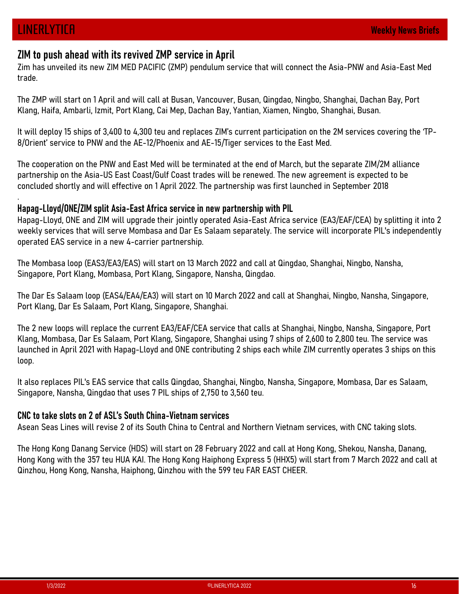.

ZIM to push ahead with its revived ZMP service in April<br>Zim has unveiled its new ZIM MED PACIFIC (ZMP) pendulum service that will connect the Asia-PNW and Asia-East Med **LINERLYTICA**<br>Z**IM to push ahead with its revived ZMP service in April**<br>Zim has unveiled its new ZIM MED PACIFIC (ZMP) pendulum service that will connect the Asia-PNW and Asia-East Med<br>trade.<br>Klang, Haifa, Ambarli, Izmit, trade.

Ready to subscribe?

**LINERLYTICA**<br>ZIM to push ahead with its revived ZMP service in April<br>Zim has unveiled its new ZIM MED PACIFIC (ZMP) pendulum service that will connect the Asia-PNW and Asia-East Med<br>trade.<br>The ZMP will start on 1 April an **LINERLYTICA**<br> **ZIM to push ahead with its revived ZMP service in April**<br>
Zim has unveiled its new ZIM MED PACIFIC (ZMP) pendulum service that will connect the Asia-PNW and Asia-East Med<br>
trade.<br>
The ZMP will start on 1 Ap 8/Orient' service to PNW and the AE-12/Phoenix and AE-15/Tiger services to the East Med.

**INERLYTICR WERGENT AND SET AND SET AND SERVIET AND SERVIET AND MERGENT AND MERGENT AND MED PACIFIC (ZMP) pendulum service that will connect the Asia-PNW and Asia-East Med<br>The ZMP will start on 1 April and will call at Bus** The cooperation on the PNW and East Med will be terminated at the end of March, but the separate ZIM/2M alliance partnership on the Asia-US East Coast/Gulf Coast trades will be renewed. The new agreement is expected to be concluded shortly and will effective on 1 April 2022. The partnership was first launched in September 2018

## Hapag-Lloyd/ONE/ZIM split Asia-East Africa service in new partnership with PIL

Hapag-Lloyd, ONE and ZIM will upgrade their jointly operated Asia-East Africa service (EA3/EAF/CEA) by splitting it into 2 weekly services that will serve Mombasa and Dar Es Salaam separately. The service will incorporate PIL's independently operated EAS service in a new 4-carrier partnership.

The Mombasa loop (EAS3/EA3/EAS) will start on 13 March 2022 and call at Qingdao, Shanghai, Ningbo, Nansha, Singapore, Port Klang, Mombasa, Port Klang, Singapore, Nansha, Qingdao.

The Dar Es Salaam loop (EAS4/EA4/EA3) will start on 10 March 2022 and call at Shanghai, Ningbo, Nansha, Singapore, Port Klang, Dar Es Salaam, Port Klang, Singapore, Shanghai.

The 2 new loops will replace the current EA3/EAF/CEA service that calls at Shanghai, Ningbo, Nansha, Singapore, Port Klang, Mombasa, Dar Es Salaam, Port Klang, Singapore, Shanghai using 7 ships of 2,600 to 2,800 teu. The service was launched in April 2021 with Hapag-Lloyd and ONE contributing 2 ships each while ZIM currently operates 3 ships on this loop. operated EAS service in a new 4-carrier partnership.<br>The Mombasa loop (EAS3/EA3/EAS) will start on 13 March 2022 and call at Qingdao. Shanghai, Ningbo, Nansha, Singapore, Port Klang, Mombasa, Port Klang, Singapore, Nansha, The Dar Es Salaam loop (EAS4/EA4/EA3) will start on 10 March 2022 and call at Shanghai, Ningbo, Nansha, Singapore,<br>Port Klang, Dar Es Salaam, Port Klang, Singapore, Shanghai.<br>The 2 new loops will replace the current EA3/EA

It also replaces PIL's EAS service that calls Qingdao, Shanghai, Ningbo, Nansha, Singapore, Mombasa, Dar es Salaam, Singapore, Nansha, Qingdao that uses 7 PIL ships of 2,750 to 3,560 teu.

## CNC to take slots on 2 of ASL's South China-Vietnam services

e, Waristia, uniguato that uses 7 PTL ships of 2,750 to 3,360 ted.<br> **kke slots on 2 of ASL's South China-Vietnam services**<br>
eas Lines will revise 2 of its South China to Central and Northern Vietnam services, with CNC taki The Hong Kong Danang Service (HDS) will start on 28 February 2022 and call at Hong Kong, Shekou, Nansha, Danang, Hong Kong with the 357 teu HUA KAI. The Hong Kong Haiphong Express 5 (HHX5) will start from 7 March 2022 and call at